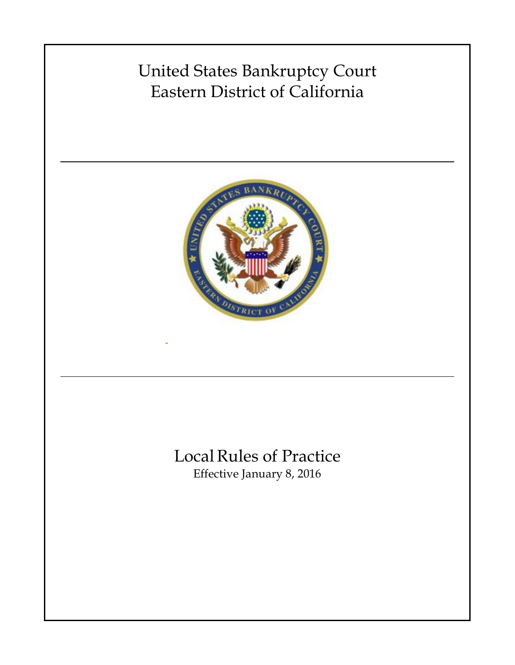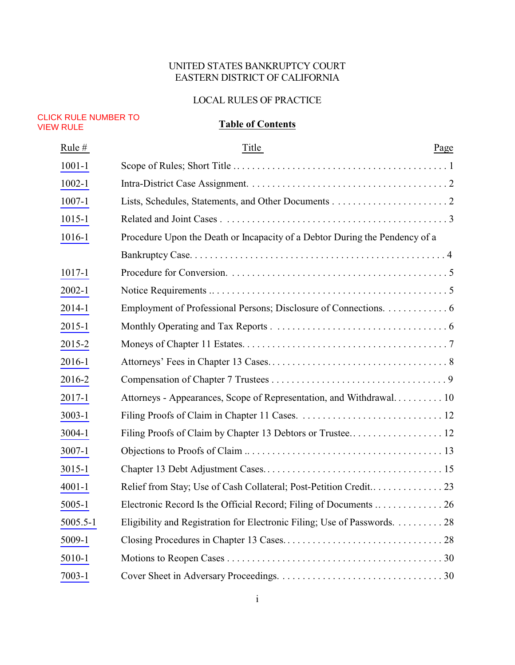## UNITED STATES BANKRUPTCY COURT EASTERN DISTRICT OF CALIFORNIA

#### LOCAL RULES OF PRACTICE

#### <span id="page-1-0"></span>CLICK RULE NUMBER TO VIEW RULE

# **Table of Contents**

| Rule #     | Title                                                                       | Page |
|------------|-----------------------------------------------------------------------------|------|
| $1001 - 1$ |                                                                             |      |
| $1002 - 1$ |                                                                             |      |
| $1007 - 1$ |                                                                             |      |
| $1015 - 1$ |                                                                             |      |
| 1016-1     | Procedure Upon the Death or Incapacity of a Debtor During the Pendency of a |      |
|            |                                                                             |      |
| $1017 - 1$ |                                                                             |      |
| $2002 - 1$ |                                                                             |      |
| 2014-1     | Employment of Professional Persons; Disclosure of Connections. 6            |      |
| $2015 - 1$ |                                                                             |      |
| 2015-2     |                                                                             |      |
| 2016-1     |                                                                             |      |
| 2016-2     |                                                                             |      |
| 2017-1     | Attorneys - Appearances, Scope of Representation, and Withdrawal 10         |      |
| $3003 - 1$ |                                                                             |      |
| 3004-1     |                                                                             |      |
| 3007-1     |                                                                             |      |
| $3015 - 1$ |                                                                             |      |
| $4001 - 1$ |                                                                             |      |
| $5005 - 1$ |                                                                             |      |
| 5005.5-1   | Eligibility and Registration for Electronic Filing; Use of Passwords. 28    |      |
| 5009-1     |                                                                             |      |
| 5010-1     |                                                                             |      |
| $7003 - 1$ |                                                                             |      |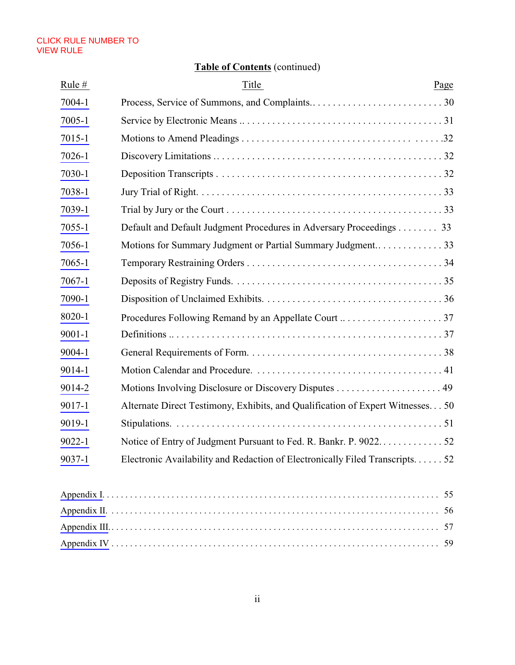# **Table of Contents** (continued)

| Rule $#$   | Title                                                                           | Page |
|------------|---------------------------------------------------------------------------------|------|
| 7004-1     |                                                                                 |      |
| $7005 - 1$ |                                                                                 |      |
| 7015-1     |                                                                                 |      |
| 7026-1     |                                                                                 |      |
| 7030-1     |                                                                                 |      |
| 7038-1     |                                                                                 |      |
| 7039-1     |                                                                                 |      |
| $7055 - 1$ | Default and Default Judgment Procedures in Adversary Proceedings 33             |      |
| 7056-1     |                                                                                 |      |
| 7065-1     |                                                                                 |      |
| 7067-1     |                                                                                 |      |
| 7090-1     |                                                                                 |      |
| 8020-1     |                                                                                 |      |
| $9001 - 1$ |                                                                                 |      |
| 9004-1     |                                                                                 |      |
| 9014-1     |                                                                                 |      |
| 9014-2     |                                                                                 |      |
| 9017-1     | Alternate Direct Testimony, Exhibits, and Qualification of Expert Witnesses. 50 |      |
| 9019-1     |                                                                                 |      |
| $9022 - 1$ |                                                                                 |      |
| $9037 - 1$ | Electronic Availability and Redaction of Electronically Filed Transcripts52     |      |
|            |                                                                                 |      |
|            |                                                                                 |      |
|            |                                                                                 | 56   |
|            |                                                                                 |      |
|            |                                                                                 |      |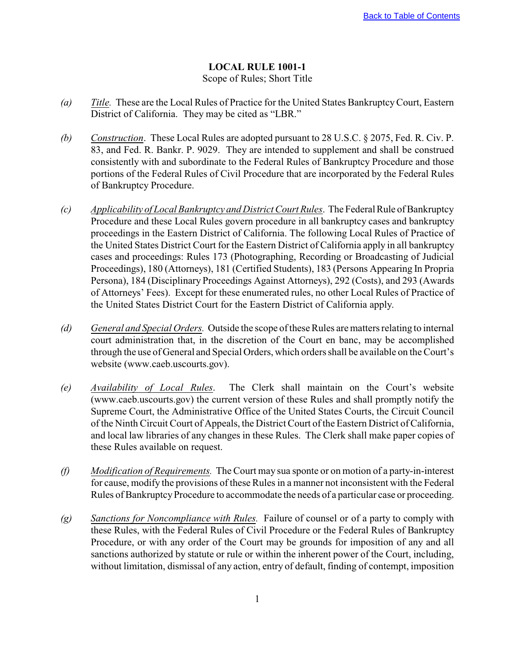## **LOCAL RULE 1001-1**

### Scope of Rules; Short Title

- <span id="page-3-0"></span>*(a) Title.* These are the Local Rules of Practice for the United States Bankruptcy Court, Eastern District of California. They may be cited as "LBR."
- *(b) Construction*. These Local Rules are adopted pursuant to 28 U.S.C. § 2075, Fed. R. Civ. P. 83, and Fed. R. Bankr. P. 9029. They are intended to supplement and shall be construed consistently with and subordinate to the Federal Rules of Bankruptcy Procedure and those portions of the Federal Rules of Civil Procedure that are incorporated by the Federal Rules of Bankruptcy Procedure.
- *(c) Applicability of Local Bankruptcy and District Court Rules*. The Federal Rule of Bankruptcy Procedure and these Local Rules govern procedure in all bankruptcy cases and bankruptcy proceedings in the Eastern District of California. The following Local Rules of Practice of the United States District Court for the Eastern District of California apply in all bankruptcy cases and proceedings: Rules 173 (Photographing, Recording or Broadcasting of Judicial Proceedings), 180 (Attorneys), 181 (Certified Students), 183 (Persons Appearing In Propria Persona), 184 (Disciplinary Proceedings Against Attorneys), 292 (Costs), and 293 (Awards of Attorneys' Fees). Except for these enumerated rules, no other Local Rules of Practice of the United States District Court for the Eastern District of California apply.
- *(d) General and Special Orders.* Outside the scope of these Rules are matters relating to internal court administration that, in the discretion of the Court en banc, may be accomplished through the use of General and Special Orders, which orders shall be available on the Court's website (www.caeb.uscourts.gov).
- *(e) Availability of Local Rules*. The Clerk shall maintain on the Court's website (www.caeb.uscourts.gov) the current version of these Rules and shall promptly notify the Supreme Court, the Administrative Office of the United States Courts, the Circuit Council of the Ninth Circuit Court of Appeals, the District Court of the Eastern District of California, and local law libraries of any changes in these Rules. The Clerk shall make paper copies of these Rules available on request.
- *(f) Modification of Requirements.* The Court may sua sponte or on motion of a party-in-interest for cause, modify the provisions of these Rules in a manner not inconsistent with the Federal Rules of Bankruptcy Procedure to accommodate the needs of a particular case or proceeding.
- *(g) Sanctions for Noncompliance with Rules.* Failure of counsel or of a party to comply with these Rules, with the Federal Rules of Civil Procedure or the Federal Rules of Bankruptcy Procedure, or with any order of the Court may be grounds for imposition of any and all sanctions authorized by statute or rule or within the inherent power of the Court, including, without limitation, dismissal of any action, entry of default, finding of contempt, imposition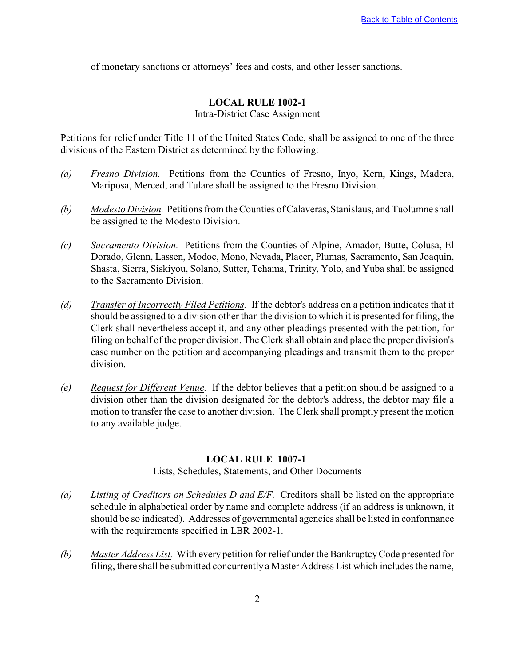<span id="page-4-0"></span>of monetary sanctions or attorneys' fees and costs, and other lesser sanctions.

# **LOCAL RULE 1002-1**

Intra-District Case Assignment

Petitions for relief under Title 11 of the United States Code, shall be assigned to one of the three divisions of the Eastern District as determined by the following:

- *(a) Fresno Division.* Petitions from the Counties of Fresno, Inyo, Kern, Kings, Madera, Mariposa, Merced, and Tulare shall be assigned to the Fresno Division.
- *(b) Modesto Division.* Petitions from the Counties of Calaveras, Stanislaus, and Tuolumne shall be assigned to the Modesto Division.
- *(c) Sacramento Division.* Petitions from the Counties of Alpine, Amador, Butte, Colusa, El Dorado, Glenn, Lassen, Modoc, Mono, Nevada, Placer, Plumas, Sacramento, San Joaquin, Shasta, Sierra, Siskiyou, Solano, Sutter, Tehama, Trinity, Yolo, and Yuba shall be assigned to the Sacramento Division.
- *(d) Transfer of Incorrectly Filed Petitions.* If the debtor's address on a petition indicates that it should be assigned to a division other than the division to which it is presented for filing, the Clerk shall nevertheless accept it, and any other pleadings presented with the petition, for filing on behalf of the proper division. The Clerk shall obtain and place the proper division's case number on the petition and accompanying pleadings and transmit them to the proper division.
- *(e) Request for Different Venue.* If the debtor believes that a petition should be assigned to a division other than the division designated for the debtor's address, the debtor may file a motion to transfer the case to another division. The Clerk shall promptly present the motion to any available judge.

#### **LOCAL RULE 1007-1**

Lists, Schedules, Statements, and Other Documents

- *(a) Listing of Creditors on Schedules D and E/F.* Creditors shall be listed on the appropriate schedule in alphabetical order by name and complete address (if an address is unknown, it should be so indicated). Addresses of governmental agencies shall be listed in conformance with the requirements specified in LBR 2002-1.
- *(b) Master Address List.* With every petition for relief under the Bankruptcy Code presented for filing, there shall be submitted concurrently a Master Address List which includes the name,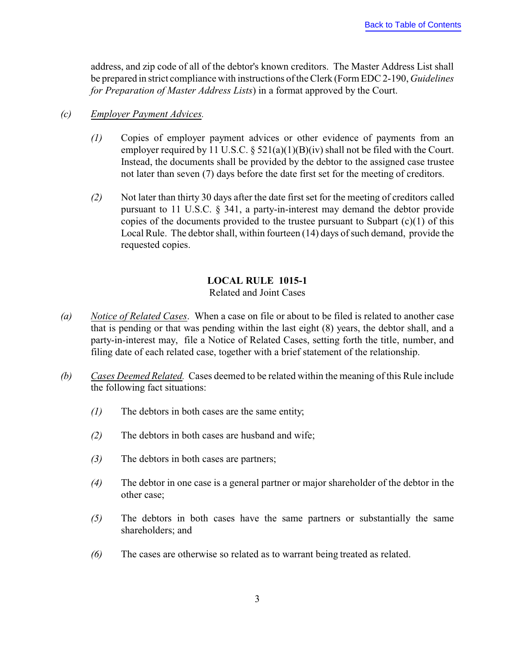<span id="page-5-0"></span>address, and zip code of all of the debtor's known creditors. The Master Address List shall be prepared in strict compliance with instructions of the Clerk (Form EDC 2-190, *Guidelines for Preparation of Master Address Lists*) in a format approved by the Court.

## *(c) Employer Payment Advices.*

- *(1)* Copies of employer payment advices or other evidence of payments from an employer required by 11 U.S.C.  $\S$  521(a)(1)(B)(iv) shall not be filed with the Court. Instead, the documents shall be provided by the debtor to the assigned case trustee not later than seven (7) days before the date first set for the meeting of creditors.
- *(2)* Not later than thirty 30 days after the date first set for the meeting of creditors called pursuant to 11 U.S.C. § 341, a party-in-interest may demand the debtor provide copies of the documents provided to the trustee pursuant to Subpart  $(c)(1)$  of this Local Rule. The debtor shall, within fourteen (14) days of such demand, provide the requested copies.

## **LOCAL RULE 1015-1**

## Related and Joint Cases

- *(a) Notice of Related Cases*. When a case on file or about to be filed is related to another case that is pending or that was pending within the last eight (8) years, the debtor shall, and a party-in-interest may, file a Notice of Related Cases, setting forth the title, number, and filing date of each related case, together with a brief statement of the relationship.
- *(b) Cases Deemed Related.* Cases deemed to be related within the meaning of this Rule include the following fact situations:
	- *(1)* The debtors in both cases are the same entity;
	- *(2)* The debtors in both cases are husband and wife;
	- *(3)* The debtors in both cases are partners;
	- *(4)* The debtor in one case is a general partner or major shareholder of the debtor in the other case;
	- *(5)* The debtors in both cases have the same partners or substantially the same shareholders; and
	- *(6)* The cases are otherwise so related as to warrant being treated as related.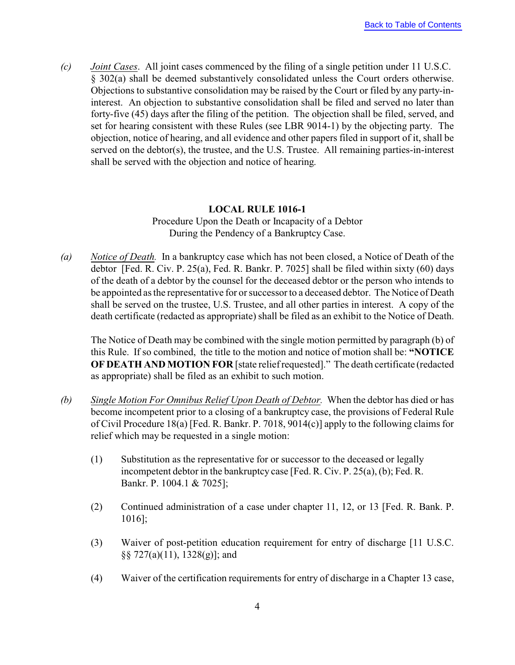<span id="page-6-0"></span>*(c) Joint Cases*. All joint cases commenced by the filing of a single petition under 11 U.S.C. § 302(a) shall be deemed substantively consolidated unless the Court orders otherwise. Objections to substantive consolidation may be raised by the Court or filed by any party-ininterest. An objection to substantive consolidation shall be filed and served no later than forty-five (45) days after the filing of the petition. The objection shall be filed, served, and set for hearing consistent with these Rules (see LBR 9014-1) by the objecting party. The objection, notice of hearing, and all evidence and other papers filed in support of it, shall be served on the debtor(s), the trustee, and the U.S. Trustee. All remaining parties-in-interest shall be served with the objection and notice of hearing.

#### **LOCAL RULE 1016-1**

Procedure Upon the Death or Incapacity of a Debtor During the Pendency of a Bankruptcy Case.

*(a) Notice of Death.* In a bankruptcy case which has not been closed, a Notice of Death of the debtor [Fed. R. Civ. P. 25(a), Fed. R. Bankr. P. 7025] shall be filed within sixty (60) days of the death of a debtor by the counsel for the deceased debtor or the person who intends to be appointed as the representative for or successor to a deceased debtor. The Notice of Death shall be served on the trustee, U.S. Trustee, and all other parties in interest. A copy of the death certificate (redacted as appropriate) shall be filed as an exhibit to the Notice of Death.

The Notice of Death may be combined with the single motion permitted by paragraph (b) of this Rule. If so combined, the title to the motion and notice of motion shall be: **"NOTICE OF DEATH AND MOTION FOR** [state relief requested]." The death certificate (redacted as appropriate) shall be filed as an exhibit to such motion.

- *(b) Single Motion For Omnibus Relief Upon Death of Debtor.* When the debtor has died or has become incompetent prior to a closing of a bankruptcy case, the provisions of Federal Rule of Civil Procedure 18(a) [Fed. R. Bankr. P. 7018, 9014(c)] apply to the following claims for relief which may be requested in a single motion:
	- (1) Substitution as the representative for or successor to the deceased or legally incompetent debtor in the bankruptcy case [Fed. R. Civ. P. 25(a), (b); Fed. R. Bankr. P. 1004.1 & 7025];
	- (2) Continued administration of a case under chapter 11, 12, or 13 [Fed. R. Bank. P. 1016];
	- (3) Waiver of post-petition education requirement for entry of discharge [11 U.S.C. §§ 727(a)(11), 1328(g)]; and
	- (4) Waiver of the certification requirements for entry of discharge in a Chapter 13 case,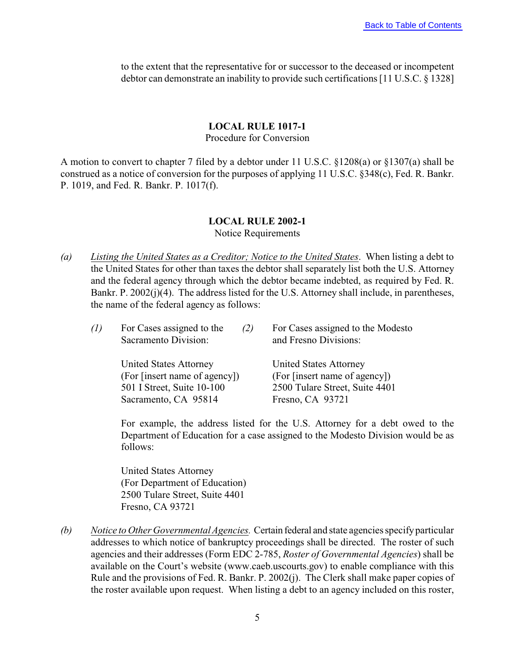<span id="page-7-0"></span>to the extent that the representative for or successor to the deceased or incompetent debtor can demonstrate an inability to provide such certifications [11 U.S.C. § 1328]

#### **LOCAL RULE 1017-1** Procedure for Conversion

A motion to convert to chapter 7 filed by a debtor under 11 U.S.C. §1208(a) or §1307(a) shall be construed as a notice of conversion for the purposes of applying 11 U.S.C. §348(c), Fed. R. Bankr. P. 1019, and Fed. R. Bankr. P. 1017(f).

# **LOCAL RULE 2002-1**

#### Notice Requirements

*(a) Listing the United States as a Creditor; Notice to the United States*. When listing a debt to the United States for other than taxes the debtor shall separately list both the U.S. Attorney and the federal agency through which the debtor became indebted, as required by Fed. R. Bankr. P. 2002(j)(4). The address listed for the U.S. Attorney shall include, in parentheses, the name of the federal agency as follows:

| (1) | For Cases assigned to the<br>(2)<br>Sacramento Division: | For Cases assigned to the Modesto<br>and Fresno Divisions: |
|-----|----------------------------------------------------------|------------------------------------------------------------|
|     | <b>United States Attorney</b>                            | <b>United States Attorney</b>                              |
|     | (For [insert name of agency])                            | (For [insert name of agency])                              |
|     | 501 I Street, Suite 10-100                               | 2500 Tulare Street, Suite 4401                             |
|     | Sacramento, CA 95814                                     | Fresno, CA 93721                                           |

For example, the address listed for the U.S. Attorney for a debt owed to the Department of Education for a case assigned to the Modesto Division would be as follows:

United States Attorney (For Department of Education) 2500 Tulare Street, Suite 4401 Fresno, CA 93721

*(b) Notice to Other Governmental Agencies.* Certain federal and state agencies specify particular addresses to which notice of bankruptcy proceedings shall be directed. The roster of such agencies and their addresses (Form EDC 2-785, *Roster of Governmental Agencies*) shall be available on the Court's website (www.caeb.uscourts.gov) to enable compliance with this Rule and the provisions of Fed. R. Bankr. P. 2002(j). The Clerk shall make paper copies of the roster available upon request. When listing a debt to an agency included on this roster,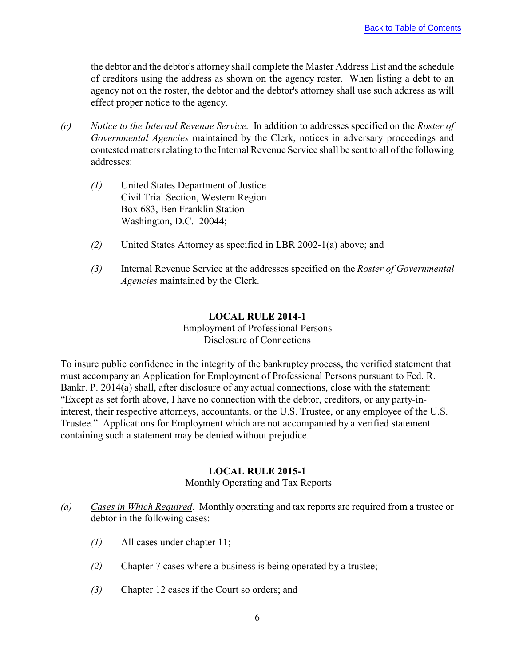<span id="page-8-0"></span>the debtor and the debtor's attorney shall complete the Master Address List and the schedule of creditors using the address as shown on the agency roster. When listing a debt to an agency not on the roster, the debtor and the debtor's attorney shall use such address as will effect proper notice to the agency.

- *(c) Notice to the Internal Revenue Service*. In addition to addresses specified on the *Roster of Governmental Agencies* maintained by the Clerk, notices in adversary proceedings and contested matters relating to the Internal Revenue Service shall be sent to all of the following addresses:
	- *(1)* United States Department of Justice Civil Trial Section, Western Region Box 683, Ben Franklin Station Washington, D.C. 20044;
	- *(2)* United States Attorney as specified in LBR 2002-1(a) above; and
	- *(3)* Internal Revenue Service at the addresses specified on the *Roster of Governmental Agencies* maintained by the Clerk.

## **LOCAL RULE 2014-1**

Employment of Professional Persons Disclosure of Connections

To insure public confidence in the integrity of the bankruptcy process, the verified statement that must accompany an Application for Employment of Professional Persons pursuant to Fed. R. Bankr. P. 2014(a) shall, after disclosure of any actual connections, close with the statement: "Except as set forth above, I have no connection with the debtor, creditors, or any party-ininterest, their respective attorneys, accountants, or the U.S. Trustee, or any employee of the U.S. Trustee." Applications for Employment which are not accompanied by a verified statement containing such a statement may be denied without prejudice.

## **LOCAL RULE 2015-1**

Monthly Operating and Tax Reports

- *(a) Cases in Which Required*. Monthly operating and tax reports are required from a trustee or debtor in the following cases:
	- *(1)* All cases under chapter 11;
	- *(2)* Chapter 7 cases where a business is being operated by a trustee;
	- *(3)* Chapter 12 cases if the Court so orders; and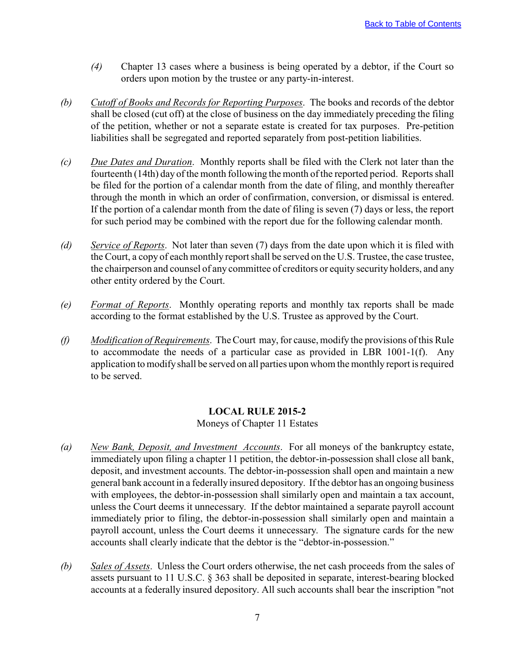- <span id="page-9-0"></span>*(4)* Chapter 13 cases where a business is being operated by a debtor, if the Court so orders upon motion by the trustee or any party-in-interest.
- *(b) Cutoff of Books and Records for Reporting Purposes*. The books and records of the debtor shall be closed (cut off) at the close of business on the day immediately preceding the filing of the petition, whether or not a separate estate is created for tax purposes. Pre-petition liabilities shall be segregated and reported separately from post-petition liabilities.
- *(c) Due Dates and Duration*. Monthly reports shall be filed with the Clerk not later than the fourteenth (14th) day of the month following the month of the reported period. Reports shall be filed for the portion of a calendar month from the date of filing, and monthly thereafter through the month in which an order of confirmation, conversion, or dismissal is entered. If the portion of a calendar month from the date of filing is seven (7) days or less, the report for such period may be combined with the report due for the following calendar month.
- *(d) Service of Reports*. Not later than seven (7) days from the date upon which it is filed with the Court, a copy of each monthly report shall be served on the U.S. Trustee, the case trustee, the chairperson and counsel of any committee of creditors or equity security holders, and any other entity ordered by the Court.
- *(e) Format of Reports*. Monthly operating reports and monthly tax reports shall be made according to the format established by the U.S. Trustee as approved by the Court.
- *(f) Modification of Requirements*. The Court may, for cause, modify the provisions of this Rule to accommodate the needs of a particular case as provided in LBR 1001-1(f). Any application to modify shall be served on all parties upon whom the monthly report is required to be served.

## **LOCAL RULE 2015-2**

Moneys of Chapter 11 Estates

- *(a) New Bank, Deposit, and Investment Accounts*. For all moneys of the bankruptcy estate, immediately upon filing a chapter 11 petition, the debtor-in-possession shall close all bank, deposit, and investment accounts. The debtor-in-possession shall open and maintain a new general bank account in a federally insured depository. If the debtor has an ongoing business with employees, the debtor-in-possession shall similarly open and maintain a tax account, unless the Court deems it unnecessary. If the debtor maintained a separate payroll account immediately prior to filing, the debtor-in-possession shall similarly open and maintain a payroll account, unless the Court deems it unnecessary. The signature cards for the new accounts shall clearly indicate that the debtor is the "debtor-in-possession."
- *(b) Sales of Assets*. Unless the Court orders otherwise, the net cash proceeds from the sales of assets pursuant to 11 U.S.C. § 363 shall be deposited in separate, interest-bearing blocked accounts at a federally insured depository. All such accounts shall bear the inscription "not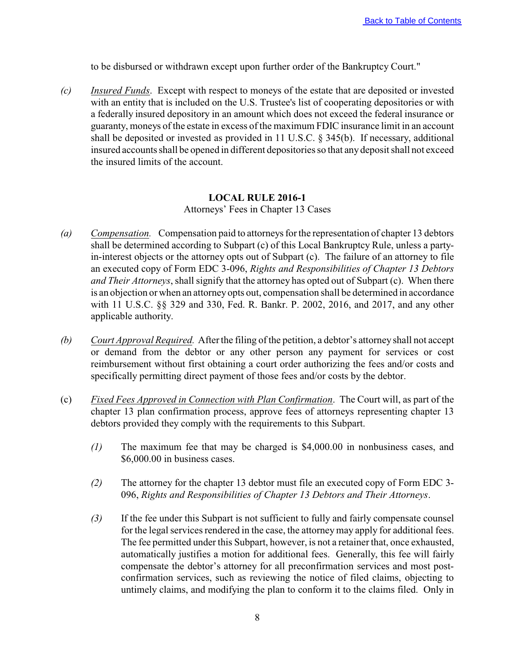to be disbursed or withdrawn except upon further order of the Bankruptcy Court."

<span id="page-10-0"></span>*(c) Insured Funds*. Except with respect to moneys of the estate that are deposited or invested with an entity that is included on the U.S. Trustee's list of cooperating depositories or with a federally insured depository in an amount which does not exceed the federal insurance or guaranty, moneys of the estate in excess of the maximum FDIC insurance limit in an account shall be deposited or invested as provided in 11 U.S.C. § 345(b). If necessary, additional insured accounts shall be opened in different depositories so that any deposit shall not exceed the insured limits of the account.

#### **LOCAL RULE 2016-1**

Attorneys' Fees in Chapter 13 Cases

- *(a) Compensation.* Compensation paid to attorneys for the representation of chapter 13 debtors shall be determined according to Subpart (c) of this Local Bankruptcy Rule, unless a partyin-interest objects or the attorney opts out of Subpart (c). The failure of an attorney to file an executed copy of Form EDC 3-096, *Rights and Responsibilities of Chapter 13 Debtors and Their Attorneys*, shall signify that the attorney has opted out of Subpart (c). When there is an objection or when an attorney opts out, compensation shall be determined in accordance with 11 U.S.C. §§ 329 and 330, Fed. R. Bankr. P. 2002, 2016, and 2017, and any other applicable authority.
- *(b) Court Approval Required.* After the filing of the petition, a debtor's attorney shall not accept or demand from the debtor or any other person any payment for services or cost reimbursement without first obtaining a court order authorizing the fees and/or costs and specifically permitting direct payment of those fees and/or costs by the debtor.
- (c) *Fixed Fees Approved in Connection with Plan Confirmation*. The Court will, as part of the chapter 13 plan confirmation process, approve fees of attorneys representing chapter 13 debtors provided they comply with the requirements to this Subpart.
	- *(1)* The maximum fee that may be charged is \$4,000.00 in nonbusiness cases, and \$6,000.00 in business cases.
	- *(2)* The attorney for the chapter 13 debtor must file an executed copy of Form EDC 3- 096, *Rights and Responsibilities of Chapter 13 Debtors and Their Attorneys*.
	- *(3)* If the fee under this Subpart is not sufficient to fully and fairly compensate counsel for the legal services rendered in the case, the attorney may apply for additional fees. The fee permitted under this Subpart, however, is not a retainer that, once exhausted, automatically justifies a motion for additional fees. Generally, this fee will fairly compensate the debtor's attorney for all preconfirmation services and most postconfirmation services, such as reviewing the notice of filed claims, objecting to untimely claims, and modifying the plan to conform it to the claims filed. Only in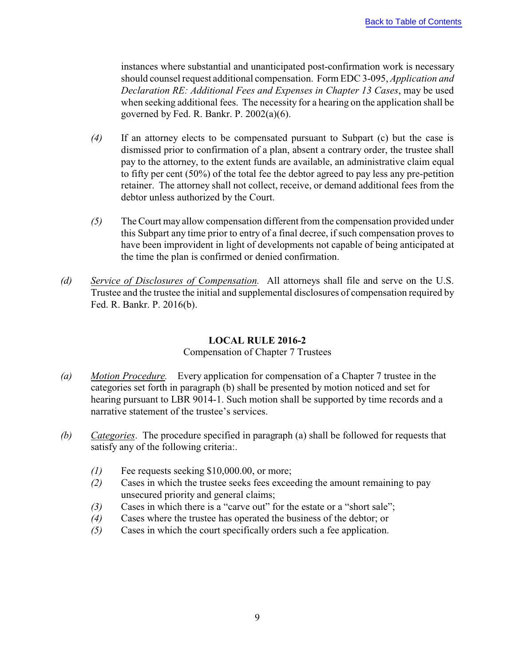<span id="page-11-0"></span>instances where substantial and unanticipated post-confirmation work is necessary should counsel request additional compensation. Form EDC 3-095, *Application and Declaration RE: Additional Fees and Expenses in Chapter 13 Cases*, may be used when seeking additional fees. The necessity for a hearing on the application shall be governed by Fed. R. Bankr. P.  $2002(a)(6)$ .

- *(4)* If an attorney elects to be compensated pursuant to Subpart (c) but the case is dismissed prior to confirmation of a plan, absent a contrary order, the trustee shall pay to the attorney, to the extent funds are available, an administrative claim equal to fifty per cent (50%) of the total fee the debtor agreed to pay less any pre-petition retainer. The attorney shall not collect, receive, or demand additional fees from the debtor unless authorized by the Court.
- *(5)* The Court may allow compensation different from the compensation provided under this Subpart any time prior to entry of a final decree, if such compensation proves to have been improvident in light of developments not capable of being anticipated at the time the plan is confirmed or denied confirmation.
- *(d) Service of Disclosures of Compensation.* All attorneys shall file and serve on the U.S. Trustee and the trustee the initial and supplemental disclosures of compensation required by Fed. R. Bankr. P. 2016(b).

## **LOCAL RULE 2016-2**

## Compensation of Chapter 7 Trustees

- *(a) Motion Procedure.* Every application for compensation of a Chapter 7 trustee in the categories set forth in paragraph (b) shall be presented by motion noticed and set for hearing pursuant to LBR 9014-1. Such motion shall be supported by time records and a narrative statement of the trustee's services.
- *(b) Categories*. The procedure specified in paragraph (a) shall be followed for requests that satisfy any of the following criteria:.
	- *(1)* Fee requests seeking \$10,000.00, or more;
	- *(2)* Cases in which the trustee seeks fees exceeding the amount remaining to pay unsecured priority and general claims;
	- *(3)* Cases in which there is a "carve out" for the estate or a "short sale";
	- *(4)* Cases where the trustee has operated the business of the debtor; or
	- *(5)* Cases in which the court specifically orders such a fee application.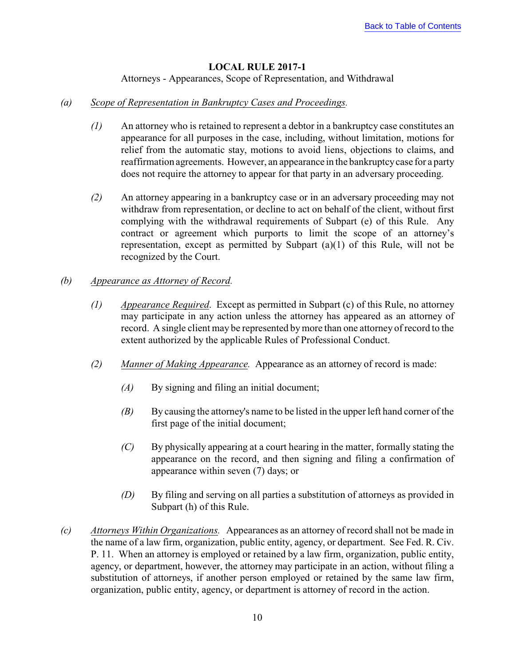## **LOCAL RULE 2017-1**

Attorneys - Appearances, Scope of Representation, and Withdrawal

## <span id="page-12-0"></span>*(a) Scope of Representation in Bankruptcy Cases and Proceedings.*

- *(1)* An attorney who is retained to represent a debtor in a bankruptcy case constitutes an appearance for all purposes in the case, including, without limitation, motions for relief from the automatic stay, motions to avoid liens, objections to claims, and reaffirmation agreements. However, an appearance in the bankruptcy case for a party does not require the attorney to appear for that party in an adversary proceeding.
- *(2)* An attorney appearing in a bankruptcy case or in an adversary proceeding may not withdraw from representation, or decline to act on behalf of the client, without first complying with the withdrawal requirements of Subpart (e) of this Rule. Any contract or agreement which purports to limit the scope of an attorney's representation, except as permitted by Subpart (a)(1) of this Rule, will not be recognized by the Court.

## *(b) Appearance as Attorney of Record.*

- *(1) Appearance Required*. Except as permitted in Subpart (c) of this Rule, no attorney may participate in any action unless the attorney has appeared as an attorney of record. A single client may be represented by more than one attorney of record to the extent authorized by the applicable Rules of Professional Conduct.
- *(2) Manner of Making Appearance.* Appearance as an attorney of record is made:
	- *(A)* By signing and filing an initial document;
	- *(B)* By causing the attorney's name to be listed in the upper left hand corner of the first page of the initial document;
	- *(C)* By physically appearing at a court hearing in the matter, formally stating the appearance on the record, and then signing and filing a confirmation of appearance within seven (7) days; or
	- *(D)* By filing and serving on all parties a substitution of attorneys as provided in Subpart (h) of this Rule.
- *(c) Attorneys Within Organizations.* Appearances as an attorney of record shall not be made in the name of a law firm, organization, public entity, agency, or department. See Fed. R. Civ. P. 11. When an attorney is employed or retained by a law firm, organization, public entity, agency, or department, however, the attorney may participate in an action, without filing a substitution of attorneys, if another person employed or retained by the same law firm, organization, public entity, agency, or department is attorney of record in the action.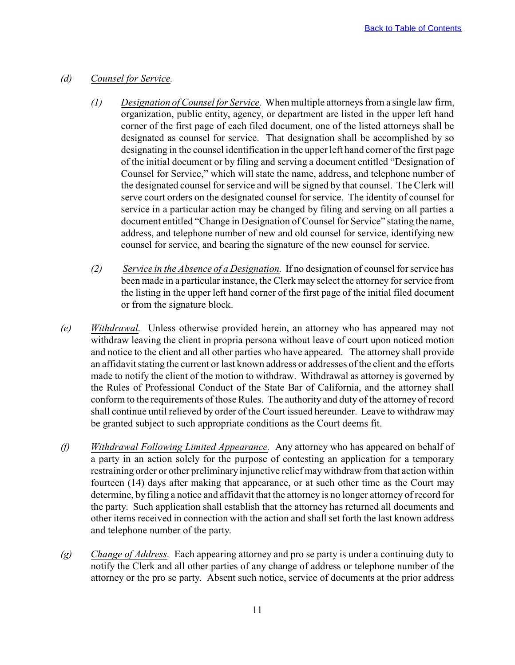### *(d) Counsel for Service.*

- *(1) Designation of Counsel for Service.* When multiple attorneys from a single law firm, organization, public entity, agency, or department are listed in the upper left hand corner of the first page of each filed document, one of the listed attorneys shall be designated as counsel for service. That designation shall be accomplished by so designating in the counsel identification in the upper left hand corner of the first page of the initial document or by filing and serving a document entitled "Designation of Counsel for Service," which will state the name, address, and telephone number of the designated counsel for service and will be signed by that counsel. The Clerk will serve court orders on the designated counsel for service. The identity of counsel for service in a particular action may be changed by filing and serving on all parties a document entitled "Change in Designation of Counsel for Service" stating the name, address, and telephone number of new and old counsel for service, identifying new counsel for service, and bearing the signature of the new counsel for service.
- *(2) Service in the Absence of a Designation.* If no designation of counsel for service has been made in a particular instance, the Clerk may select the attorney for service from the listing in the upper left hand corner of the first page of the initial filed document or from the signature block.
- *(e) Withdrawal.* Unless otherwise provided herein, an attorney who has appeared may not withdraw leaving the client in propria persona without leave of court upon noticed motion and notice to the client and all other parties who have appeared. The attorney shall provide an affidavit stating the current or last known address or addresses of the client and the efforts made to notify the client of the motion to withdraw. Withdrawal as attorney is governed by the Rules of Professional Conduct of the State Bar of California, and the attorney shall conform to the requirements of those Rules. The authority and duty of the attorney of record shall continue until relieved by order of the Court issued hereunder. Leave to withdraw may be granted subject to such appropriate conditions as the Court deems fit.
- *(f) Withdrawal Following Limited Appearance.* Any attorney who has appeared on behalf of a party in an action solely for the purpose of contesting an application for a temporary restraining order or other preliminary injunctive relief may withdraw from that action within fourteen (14) days after making that appearance, or at such other time as the Court may determine, by filing a notice and affidavit that the attorney is no longer attorney of record for the party. Such application shall establish that the attorney has returned all documents and other items received in connection with the action and shall set forth the last known address and telephone number of the party.
- *(g) Change of Address.* Each appearing attorney and pro se party is under a continuing duty to notify the Clerk and all other parties of any change of address or telephone number of the attorney or the pro se party. Absent such notice, service of documents at the prior address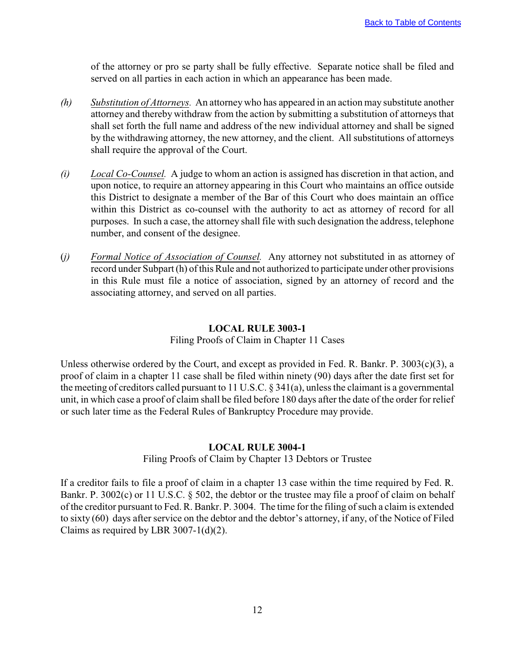<span id="page-14-0"></span>of the attorney or pro se party shall be fully effective. Separate notice shall be filed and served on all parties in each action in which an appearance has been made.

- *(h) Substitution of Attorneys.* An attorney who has appeared in an action may substitute another attorney and thereby withdraw from the action by submitting a substitution of attorneys that shall set forth the full name and address of the new individual attorney and shall be signed by the withdrawing attorney, the new attorney, and the client. All substitutions of attorneys shall require the approval of the Court.
- *(i) Local Co-Counsel.* A judge to whom an action is assigned has discretion in that action, and upon notice, to require an attorney appearing in this Court who maintains an office outside this District to designate a member of the Bar of this Court who does maintain an office within this District as co-counsel with the authority to act as attorney of record for all purposes. In such a case, the attorney shall file with such designation the address, telephone number, and consent of the designee.
- (*j) Formal Notice of Association of Counsel.* Any attorney not substituted in as attorney of record under Subpart (h) of this Rule and not authorized to participate under other provisions in this Rule must file a notice of association, signed by an attorney of record and the associating attorney, and served on all parties.

## **LOCAL RULE 3003-1**

#### Filing Proofs of Claim in Chapter 11 Cases

Unless otherwise ordered by the Court, and except as provided in Fed. R. Bankr. P.  $3003(c)(3)$ , a proof of claim in a chapter 11 case shall be filed within ninety (90) days after the date first set for the meeting of creditors called pursuant to 11 U.S.C. § 341(a), unless the claimant is a governmental unit, in which case a proof of claim shall be filed before 180 days after the date of the order for relief or such later time as the Federal Rules of Bankruptcy Procedure may provide.

#### **LOCAL RULE 3004-1**

#### Filing Proofs of Claim by Chapter 13 Debtors or Trustee

If a creditor fails to file a proof of claim in a chapter 13 case within the time required by Fed. R. Bankr. P. 3002(c) or 11 U.S.C. § 502, the debtor or the trustee may file a proof of claim on behalf of the creditor pursuant to Fed. R. Bankr. P. 3004. The time for the filing of such a claim is extended to sixty (60) days after service on the debtor and the debtor's attorney, if any, of the Notice of Filed Claims as required by LBR 3007-1(d)(2).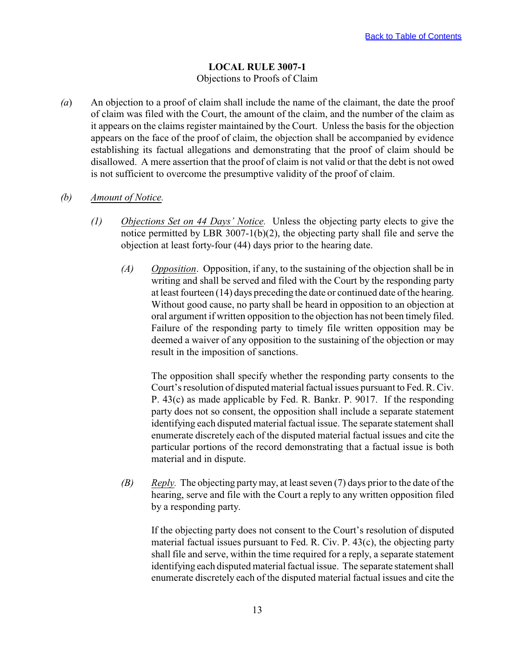# **LOCAL RULE 3007-1**

#### Objections to Proofs of Claim

<span id="page-15-0"></span>*(a*) An objection to a proof of claim shall include the name of the claimant, the date the proof of claim was filed with the Court, the amount of the claim, and the number of the claim as it appears on the claims register maintained by the Court. Unless the basis for the objection appears on the face of the proof of claim, the objection shall be accompanied by evidence establishing its factual allegations and demonstrating that the proof of claim should be disallowed. A mere assertion that the proof of claim is not valid or that the debt is not owed is not sufficient to overcome the presumptive validity of the proof of claim.

#### *(b) Amount of Notice.*

- *(1) Objections Set on 44 Days' Notice.* Unless the objecting party elects to give the notice permitted by LBR 3007-1(b)(2), the objecting party shall file and serve the objection at least forty-four (44) days prior to the hearing date.
	- *(A) Opposition*. Opposition, if any, to the sustaining of the objection shall be in writing and shall be served and filed with the Court by the responding party at least fourteen (14) days preceding the date or continued date of the hearing. Without good cause, no party shall be heard in opposition to an objection at oral argument if written opposition to the objection has not been timely filed. Failure of the responding party to timely file written opposition may be deemed a waiver of any opposition to the sustaining of the objection or may result in the imposition of sanctions.

The opposition shall specify whether the responding party consents to the Court's resolution of disputed material factual issues pursuant to Fed. R. Civ. P. 43(c) as made applicable by Fed. R. Bankr. P. 9017. If the responding party does not so consent, the opposition shall include a separate statement identifying each disputed material factual issue. The separate statement shall enumerate discretely each of the disputed material factual issues and cite the particular portions of the record demonstrating that a factual issue is both material and in dispute.

*(B) Reply.* The objecting party may, at least seven (7) days prior to the date of the hearing, serve and file with the Court a reply to any written opposition filed by a responding party.

If the objecting party does not consent to the Court's resolution of disputed material factual issues pursuant to Fed. R. Civ. P. 43(c), the objecting party shall file and serve, within the time required for a reply, a separate statement identifying each disputed material factual issue. The separate statement shall enumerate discretely each of the disputed material factual issues and cite the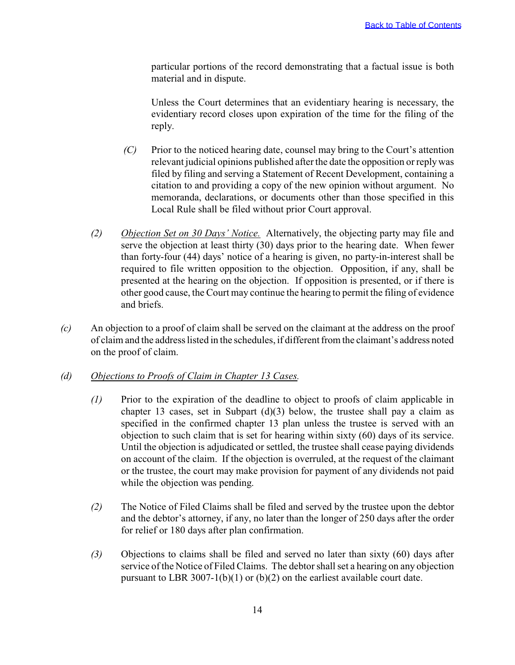particular portions of the record demonstrating that a factual issue is both material and in dispute.

Unless the Court determines that an evidentiary hearing is necessary, the evidentiary record closes upon expiration of the time for the filing of the reply.

- *(C)* Prior to the noticed hearing date, counsel may bring to the Court's attention relevant judicial opinions published after the date the opposition or reply was filed by filing and serving a Statement of Recent Development, containing a citation to and providing a copy of the new opinion without argument. No memoranda, declarations, or documents other than those specified in this Local Rule shall be filed without prior Court approval.
- *(2) Objection Set on 30 Days' Notice.* Alternatively, the objecting party may file and serve the objection at least thirty (30) days prior to the hearing date. When fewer than forty-four (44) days' notice of a hearing is given, no party-in-interest shall be required to file written opposition to the objection. Opposition, if any, shall be presented at the hearing on the objection. If opposition is presented, or if there is other good cause, the Court may continue the hearing to permit the filing of evidence and briefs.
- *(c)* An objection to a proof of claim shall be served on the claimant at the address on the proof of claim and the address listed in the schedules, if different from the claimant's address noted on the proof of claim.

#### *(d) Objections to Proofs of Claim in Chapter 13 Cases.*

- *(1)* Prior to the expiration of the deadline to object to proofs of claim applicable in chapter 13 cases, set in Subpart  $(d)(3)$  below, the trustee shall pay a claim as specified in the confirmed chapter 13 plan unless the trustee is served with an objection to such claim that is set for hearing within sixty (60) days of its service. Until the objection is adjudicated or settled, the trustee shall cease paying dividends on account of the claim. If the objection is overruled, at the request of the claimant or the trustee, the court may make provision for payment of any dividends not paid while the objection was pending.
- *(2)* The Notice of Filed Claims shall be filed and served by the trustee upon the debtor and the debtor's attorney, if any, no later than the longer of 250 days after the order for relief or 180 days after plan confirmation.
- *(3)* Objections to claims shall be filed and served no later than sixty (60) days after service of the Notice of Filed Claims. The debtor shall set a hearing on any objection pursuant to LBR 3007-1(b)(1) or (b)(2) on the earliest available court date.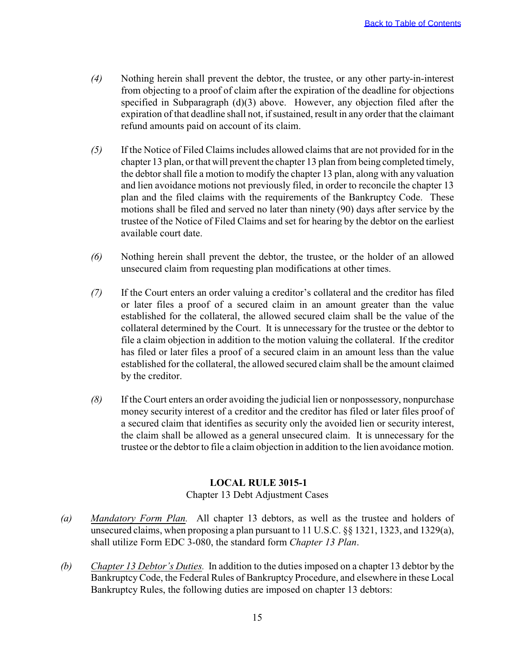- <span id="page-17-0"></span>*(4)* Nothing herein shall prevent the debtor, the trustee, or any other party-in-interest from objecting to a proof of claim after the expiration of the deadline for objections specified in Subparagraph (d)(3) above. However, any objection filed after the expiration of that deadline shall not, if sustained, result in any order that the claimant refund amounts paid on account of its claim.
- *(5)* If the Notice of Filed Claims includes allowed claims that are not provided for in the chapter 13 plan, or that will prevent the chapter 13 plan from being completed timely, the debtor shall file a motion to modify the chapter 13 plan, along with any valuation and lien avoidance motions not previously filed, in order to reconcile the chapter 13 plan and the filed claims with the requirements of the Bankruptcy Code. These motions shall be filed and served no later than ninety (90) days after service by the trustee of the Notice of Filed Claims and set for hearing by the debtor on the earliest available court date.
- *(6)* Nothing herein shall prevent the debtor, the trustee, or the holder of an allowed unsecured claim from requesting plan modifications at other times.
- *(7)* If the Court enters an order valuing a creditor's collateral and the creditor has filed or later files a proof of a secured claim in an amount greater than the value established for the collateral, the allowed secured claim shall be the value of the collateral determined by the Court. It is unnecessary for the trustee or the debtor to file a claim objection in addition to the motion valuing the collateral. If the creditor has filed or later files a proof of a secured claim in an amount less than the value established for the collateral, the allowed secured claim shall be the amount claimed by the creditor.
- *(8)* If the Court enters an order avoiding the judicial lien or nonpossessory, nonpurchase money security interest of a creditor and the creditor has filed or later files proof of a secured claim that identifies as security only the avoided lien or security interest, the claim shall be allowed as a general unsecured claim. It is unnecessary for the trustee or the debtor to file a claim objection in addition to the lien avoidance motion.

## **LOCAL RULE 3015-1**

#### Chapter 13 Debt Adjustment Cases

- *(a) Mandatory Form Plan.* All chapter 13 debtors, as well as the trustee and holders of unsecured claims, when proposing a plan pursuant to 11 U.S.C. §§ 1321, 1323, and 1329(a), shall utilize Form EDC 3-080, the standard form *Chapter 13 Plan*.
- *(b) Chapter 13 Debtor's Duties.* In addition to the duties imposed on a chapter 13 debtor by the Bankruptcy Code, the Federal Rules of Bankruptcy Procedure, and elsewhere in these Local Bankruptcy Rules, the following duties are imposed on chapter 13 debtors: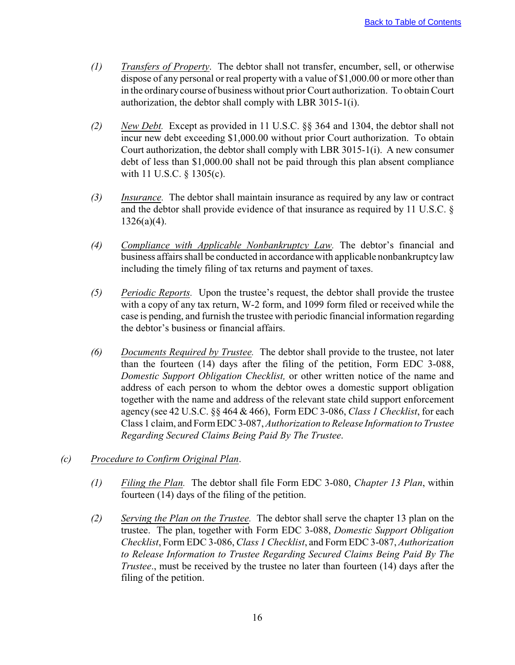- *(1) Transfers of Property*. The debtor shall not transfer, encumber, sell, or otherwise dispose of any personal or real property with a value of \$1,000.00 or more other than in the ordinary course of business without prior Court authorization. To obtain Court authorization, the debtor shall comply with LBR 3015-1(i).
- *(2) New Debt.* Except as provided in 11 U.S.C. §§ 364 and 1304, the debtor shall not incur new debt exceeding \$1,000.00 without prior Court authorization. To obtain Court authorization, the debtor shall comply with LBR 3015-1(i). A new consumer debt of less than \$1,000.00 shall not be paid through this plan absent compliance with 11 U.S.C. § 1305(c).
- *(3) Insurance.* The debtor shall maintain insurance as required by any law or contract and the debtor shall provide evidence of that insurance as required by 11 U.S.C. §  $1326(a)(4)$ .
- *(4) Compliance with Applicable Nonbankruptcy Law.* The debtor's financial and business affairs shall be conducted in accordance with applicable nonbankruptcy law including the timely filing of tax returns and payment of taxes.
- *(5) Periodic Reports.* Upon the trustee's request, the debtor shall provide the trustee with a copy of any tax return, W-2 form, and 1099 form filed or received while the case is pending, and furnish the trustee with periodic financial information regarding the debtor's business or financial affairs.
- *(6) Documents Required by Trustee.* The debtor shall provide to the trustee, not later than the fourteen (14) days after the filing of the petition, Form EDC 3-088, *Domestic Support Obligation Checklist,* or other written notice of the name and address of each person to whom the debtor owes a domestic support obligation together with the name and address of the relevant state child support enforcement agency (see 42 U.S.C. §§ 464 & 466), Form EDC 3-086, *Class 1 Checklist*, for each Class 1 claim, and Form EDC 3-087, *Authorization to Release Information to Trustee Regarding Secured Claims Being Paid By The Trustee*.
- *(c) Procedure to Confirm Original Plan*.
	- *(1) Filing the Plan.* The debtor shall file Form EDC 3-080, *Chapter 13 Plan*, within fourteen (14) days of the filing of the petition.
	- *(2) Serving the Plan on the Trustee.* The debtor shall serve the chapter 13 plan on the trustee. The plan, together with Form EDC 3-088, *Domestic Support Obligation Checklist*, Form EDC 3-086, *Class 1 Checklist*, and Form EDC 3-087, *Authorization to Release Information to Trustee Regarding Secured Claims Being Paid By The Trustee*., must be received by the trustee no later than fourteen (14) days after the filing of the petition.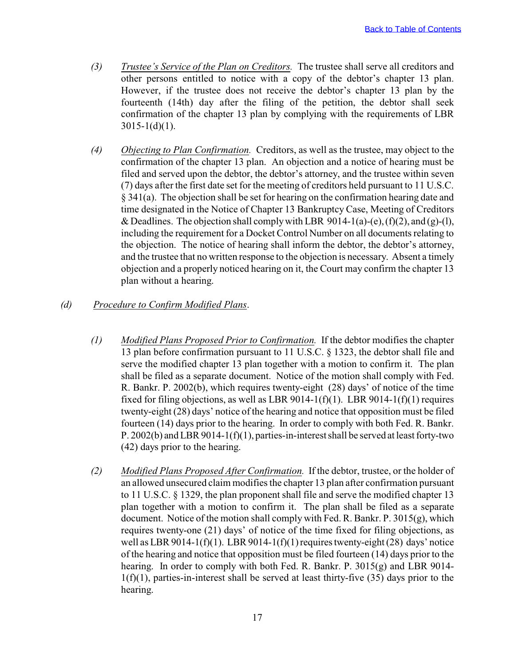- *(3) Trustee's Service of the Plan on Creditors.* The trustee shall serve all creditors and other persons entitled to notice with a copy of the debtor's chapter 13 plan. However, if the trustee does not receive the debtor's chapter 13 plan by the fourteenth (14th) day after the filing of the petition, the debtor shall seek confirmation of the chapter 13 plan by complying with the requirements of LBR  $3015 - 1(d)(1)$ .
- *(4) Objecting to Plan Confirmation.* Creditors, as well as the trustee, may object to the confirmation of the chapter 13 plan. An objection and a notice of hearing must be filed and served upon the debtor, the debtor's attorney, and the trustee within seven (7) days after the first date set for the meeting of creditors held pursuant to 11 U.S.C. § 341(a). The objection shall be set for hearing on the confirmation hearing date and time designated in the Notice of Chapter 13 Bankruptcy Case, Meeting of Creditors & Deadlines. The objection shall comply with LBR 9014-1(a)-(e),  $(f)(2)$ , and  $(g)-(1)$ , including the requirement for a Docket Control Number on all documents relating to the objection. The notice of hearing shall inform the debtor, the debtor's attorney, and the trustee that no written response to the objection is necessary. Absent a timely objection and a properly noticed hearing on it, the Court may confirm the chapter 13 plan without a hearing.
- *(d) Procedure to Confirm Modified Plans*.
	- *(1) Modified Plans Proposed Prior to Confirmation.* If the debtor modifies the chapter 13 plan before confirmation pursuant to 11 U.S.C. § 1323, the debtor shall file and serve the modified chapter 13 plan together with a motion to confirm it. The plan shall be filed as a separate document. Notice of the motion shall comply with Fed. R. Bankr. P. 2002(b), which requires twenty-eight (28) days' of notice of the time fixed for filing objections, as well as LBR 9014-1(f)(1). LBR 9014-1(f)(1) requires twenty-eight (28) days' notice of the hearing and notice that opposition must be filed fourteen (14) days prior to the hearing. In order to comply with both Fed. R. Bankr. P. 2002(b) and LBR 9014-1(f)(1), parties-in-interest shall be served at least forty-two (42) days prior to the hearing.
	- *(2) Modified Plans Proposed After Confirmation.* If the debtor, trustee, or the holder of an allowed unsecured claim modifies the chapter 13 plan after confirmation pursuant to 11 U.S.C. § 1329, the plan proponent shall file and serve the modified chapter 13 plan together with a motion to confirm it. The plan shall be filed as a separate document. Notice of the motion shall comply with Fed. R. Bankr. P. 3015(g), which requires twenty-one (21) days' of notice of the time fixed for filing objections, as well as LBR 9014-1(f)(1). LBR 9014-1(f)(1) requires twenty-eight (28) days' notice of the hearing and notice that opposition must be filed fourteen (14) days prior to the hearing. In order to comply with both Fed. R. Bankr. P. 3015(g) and LBR 9014- $1(f)(1)$ , parties-in-interest shall be served at least thirty-five (35) days prior to the hearing.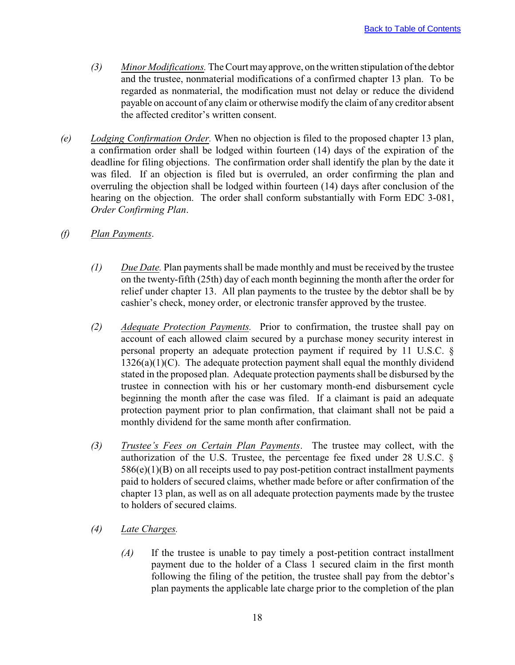- *(3) Minor Modifications.* The Court may approve, on the written stipulation of the debtor and the trustee, nonmaterial modifications of a confirmed chapter 13 plan. To be regarded as nonmaterial, the modification must not delay or reduce the dividend payable on account of any claim or otherwise modify the claim of any creditor absent the affected creditor's written consent.
- *(e) Lodging Confirmation Order.* When no objection is filed to the proposed chapter 13 plan, a confirmation order shall be lodged within fourteen (14) days of the expiration of the deadline for filing objections. The confirmation order shall identify the plan by the date it was filed. If an objection is filed but is overruled, an order confirming the plan and overruling the objection shall be lodged within fourteen (14) days after conclusion of the hearing on the objection. The order shall conform substantially with Form EDC 3-081, *Order Confirming Plan*.
- *(f) Plan Payments*.
	- *(1) Due Date.* Plan payments shall be made monthly and must be received by the trustee on the twenty-fifth (25th) day of each month beginning the month after the order for relief under chapter 13. All plan payments to the trustee by the debtor shall be by cashier's check, money order, or electronic transfer approved by the trustee.
	- *(2) Adequate Protection Payments.* Prior to confirmation, the trustee shall pay on account of each allowed claim secured by a purchase money security interest in personal property an adequate protection payment if required by 11 U.S.C. §  $1326(a)(1)(C)$ . The adequate protection payment shall equal the monthly dividend stated in the proposed plan. Adequate protection payments shall be disbursed by the trustee in connection with his or her customary month-end disbursement cycle beginning the month after the case was filed. If a claimant is paid an adequate protection payment prior to plan confirmation, that claimant shall not be paid a monthly dividend for the same month after confirmation.
	- *(3) Trustee's Fees on Certain Plan Payments*. The trustee may collect, with the authorization of the U.S. Trustee, the percentage fee fixed under 28 U.S.C. §  $586(e)(1)(B)$  on all receipts used to pay post-petition contract installment payments paid to holders of secured claims, whether made before or after confirmation of the chapter 13 plan, as well as on all adequate protection payments made by the trustee to holders of secured claims.
	- *(4) Late Charges.*
		- *(A)* If the trustee is unable to pay timely a post-petition contract installment payment due to the holder of a Class 1 secured claim in the first month following the filing of the petition, the trustee shall pay from the debtor's plan payments the applicable late charge prior to the completion of the plan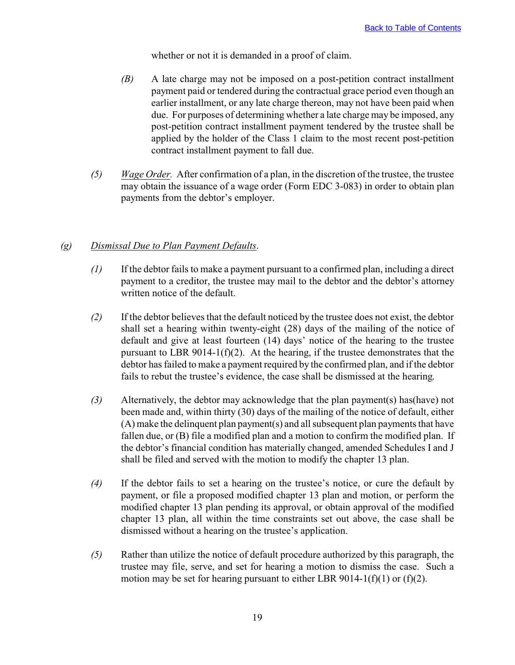whether or not it is demanded in a proof of claim.

- *(B)* A late charge may not be imposed on a post-petition contract installment payment paid or tendered during the contractual grace period even though an earlier installment, or any late charge thereon, may not have been paid when due. For purposes of determining whether a late charge may be imposed, any post-petition contract installment payment tendered by the trustee shall be applied by the holder of the Class 1 claim to the most recent post-petition contract installment payment to fall due.
- *(5) Wage Order.* After confirmation of a plan, in the discretion of the trustee, the trustee may obtain the issuance of a wage order (Form EDC 3-083) in order to obtain plan payments from the debtor's employer.

## *(g) Dismissal Due to Plan Payment Defaults*.

- *(1)* If the debtor fails to make a payment pursuant to a confirmed plan, including a direct payment to a creditor, the trustee may mail to the debtor and the debtor's attorney written notice of the default.
- *(2)* If the debtor believes that the default noticed by the trustee does not exist, the debtor shall set a hearing within twenty-eight (28) days of the mailing of the notice of default and give at least fourteen (14) days' notice of the hearing to the trustee pursuant to LBR 9014-1(f)(2). At the hearing, if the trustee demonstrates that the debtor has failed to make a payment required by the confirmed plan, and if the debtor fails to rebut the trustee's evidence, the case shall be dismissed at the hearing.
- *(3)* Alternatively, the debtor may acknowledge that the plan payment(s) has(have) not been made and, within thirty (30) days of the mailing of the notice of default, either (A) make the delinquent plan payment(s) and all subsequent plan payments that have fallen due, or (B) file a modified plan and a motion to confirm the modified plan. If the debtor's financial condition has materially changed, amended Schedules I and J shall be filed and served with the motion to modify the chapter 13 plan.
- *(4)* If the debtor fails to set a hearing on the trustee's notice, or cure the default by payment, or file a proposed modified chapter 13 plan and motion, or perform the modified chapter 13 plan pending its approval, or obtain approval of the modified chapter 13 plan, all within the time constraints set out above, the case shall be dismissed without a hearing on the trustee's application.
- *(5)* Rather than utilize the notice of default procedure authorized by this paragraph, the trustee may file, serve, and set for hearing a motion to dismiss the case. Such a motion may be set for hearing pursuant to either LBR 9014-1(f)(1) or (f)(2).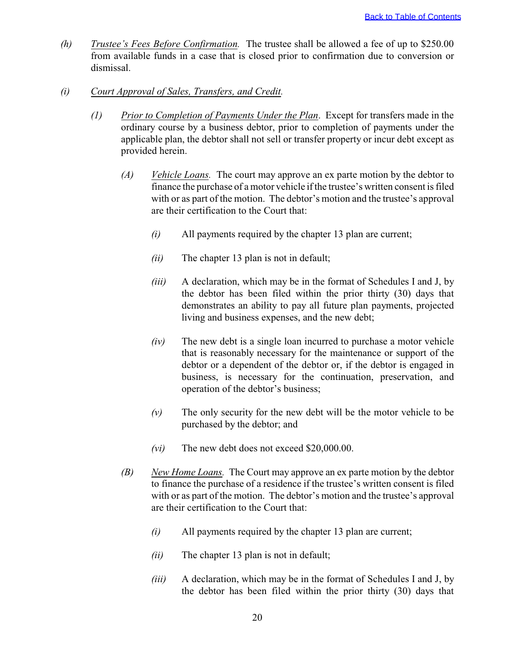- *(h) Trustee's Fees Before Confirmation.* The trustee shall be allowed a fee of up to \$250.00 from available funds in a case that is closed prior to confirmation due to conversion or dismissal.
- *(i) Court Approval of Sales, Transfers, and Credit.*
	- *(1) Prior to Completion of Payments Under the Plan*. Except for transfers made in the ordinary course by a business debtor, prior to completion of payments under the applicable plan, the debtor shall not sell or transfer property or incur debt except as provided herein.
		- *(A) Vehicle Loans.* The court may approve an ex parte motion by the debtor to finance the purchase of a motor vehicle if the trustee's written consent is filed with or as part of the motion. The debtor's motion and the trustee's approval are their certification to the Court that:
			- *(i)* All payments required by the chapter 13 plan are current;
			- *(ii)* The chapter 13 plan is not in default;
			- *(iii)* A declaration, which may be in the format of Schedules I and J, by the debtor has been filed within the prior thirty (30) days that demonstrates an ability to pay all future plan payments, projected living and business expenses, and the new debt;
			- *(iv)* The new debt is a single loan incurred to purchase a motor vehicle that is reasonably necessary for the maintenance or support of the debtor or a dependent of the debtor or, if the debtor is engaged in business, is necessary for the continuation, preservation, and operation of the debtor's business;
			- *(v)* The only security for the new debt will be the motor vehicle to be purchased by the debtor; and
			- *(vi)* The new debt does not exceed \$20,000.00.
		- *(B) New Home Loans.* The Court may approve an ex parte motion by the debtor to finance the purchase of a residence if the trustee's written consent is filed with or as part of the motion. The debtor's motion and the trustee's approval are their certification to the Court that:
			- *(i)* All payments required by the chapter 13 plan are current;
			- *(ii)* The chapter 13 plan is not in default;
			- *(iii)* A declaration, which may be in the format of Schedules I and J, by the debtor has been filed within the prior thirty (30) days that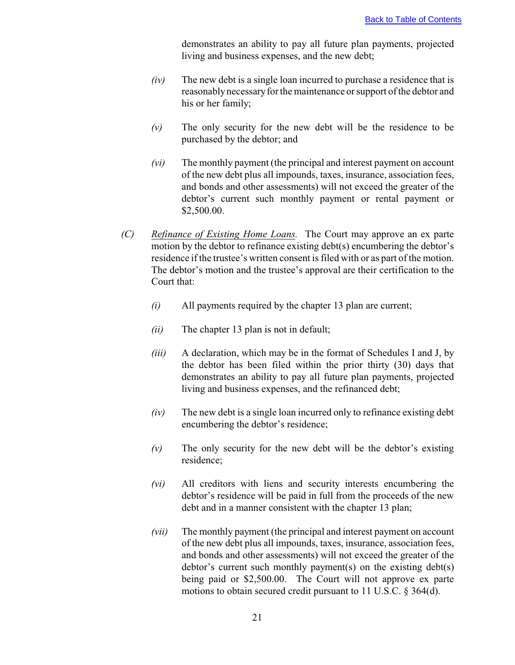demonstrates an ability to pay all future plan payments, projected living and business expenses, and the new debt;

- *(iv)* The new debt is a single loan incurred to purchase a residence that is reasonably necessary for the maintenance or support of the debtor and his or her family;
- *(v)* The only security for the new debt will be the residence to be purchased by the debtor; and
- *(vi)* The monthly payment (the principal and interest payment on account of the new debt plus all impounds, taxes, insurance, association fees, and bonds and other assessments) will not exceed the greater of the debtor's current such monthly payment or rental payment or \$2,500.00.
- *(C) Refinance of Existing Home Loans.* The Court may approve an ex parte motion by the debtor to refinance existing debt(s) encumbering the debtor's residence if the trustee's written consent is filed with or as part of the motion. The debtor's motion and the trustee's approval are their certification to the Court that:
	- *(i)* All payments required by the chapter 13 plan are current;
	- *(ii)* The chapter 13 plan is not in default;
	- *(iii)* A declaration, which may be in the format of Schedules I and J, by the debtor has been filed within the prior thirty (30) days that demonstrates an ability to pay all future plan payments, projected living and business expenses, and the refinanced debt;
	- *(iv)* The new debt is a single loan incurred only to refinance existing debt encumbering the debtor's residence;
	- *(v)* The only security for the new debt will be the debtor's existing residence;
	- *(vi)* All creditors with liens and security interests encumbering the debtor's residence will be paid in full from the proceeds of the new debt and in a manner consistent with the chapter 13 plan;
	- *(vii)* The monthly payment (the principal and interest payment on account of the new debt plus all impounds, taxes, insurance, association fees, and bonds and other assessments) will not exceed the greater of the debtor's current such monthly payment(s) on the existing debt(s) being paid or \$2,500.00. The Court will not approve ex parte motions to obtain secured credit pursuant to 11 U.S.C. § 364(d).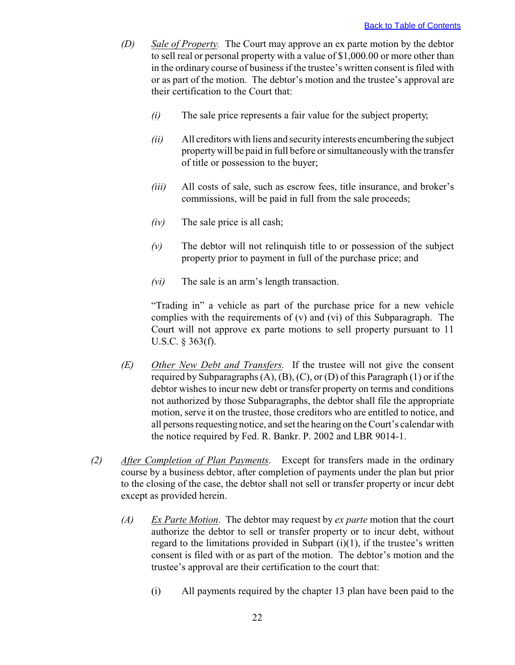- *(D) Sale of Property.* The Court may approve an ex parte motion by the debtor to sell real or personal property with a value of \$1,000.00 or more other than in the ordinary course of business if the trustee's written consent is filed with or as part of the motion. The debtor's motion and the trustee's approval are their certification to the Court that:
	- *(i)* The sale price represents a fair value for the subject property;
	- *(ii)* All creditors with liens and security interests encumbering the subject property will be paid in full before or simultaneously with the transfer of title or possession to the buyer;
	- *(iii)* All costs of sale, such as escrow fees, title insurance, and broker's commissions, will be paid in full from the sale proceeds;
	- *(iv)* The sale price is all cash;
	- *(v)* The debtor will not relinquish title to or possession of the subject property prior to payment in full of the purchase price; and
	- *(vi)* The sale is an arm's length transaction.

"Trading in" a vehicle as part of the purchase price for a new vehicle complies with the requirements of (v) and (vi) of this Subparagraph. The Court will not approve ex parte motions to sell property pursuant to 11 U.S.C. § 363(f).

- *(E) Other New Debt and Transfers.* If the trustee will not give the consent required by Subparagraphs  $(A)$ ,  $(B)$ ,  $(C)$ , or  $(D)$  of this Paragraph  $(1)$  or if the debtor wishes to incur new debt or transfer property on terms and conditions not authorized by those Subparagraphs, the debtor shall file the appropriate motion, serve it on the trustee, those creditors who are entitled to notice, and all persons requesting notice, and set the hearing on the Court's calendar with the notice required by Fed. R. Bankr. P. 2002 and LBR 9014-1.
- *(2) After Completion of Plan Payments*. Except for transfers made in the ordinary course by a business debtor, after completion of payments under the plan but prior to the closing of the case, the debtor shall not sell or transfer property or incur debt except as provided herein.
	- *(A) Ex Parte Motion*. The debtor may request by *ex parte* motion that the court authorize the debtor to sell or transfer property or to incur debt, without regard to the limitations provided in Subpart  $(i)(1)$ , if the trustee's written consent is filed with or as part of the motion. The debtor's motion and the trustee's approval are their certification to the court that:
		- (i) All payments required by the chapter 13 plan have been paid to the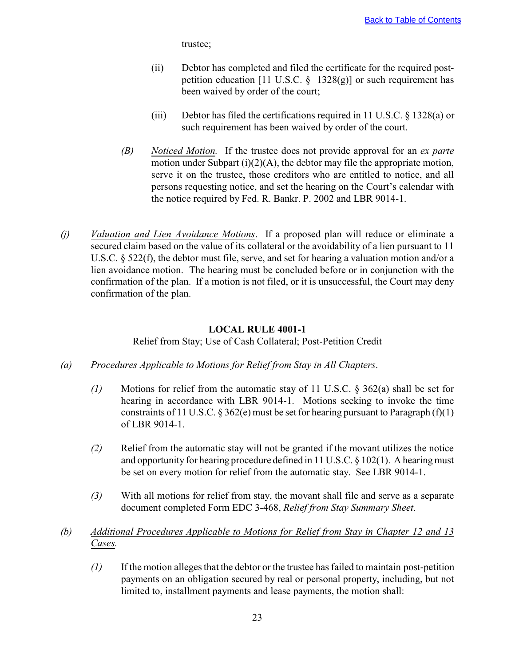trustee;

- <span id="page-25-0"></span>(ii) Debtor has completed and filed the certificate for the required postpetition education [11 U.S.C.  $\S$  1328(g)] or such requirement has been waived by order of the court;
- (iii) Debtor has filed the certifications required in 11 U.S.C. § 1328(a) or such requirement has been waived by order of the court.
- *(B) Noticed Motion.* If the trustee does not provide approval for an *ex parte* motion under Subpart  $(i)(2)(A)$ , the debtor may file the appropriate motion, serve it on the trustee, those creditors who are entitled to notice, and all persons requesting notice, and set the hearing on the Court's calendar with the notice required by Fed. R. Bankr. P. 2002 and LBR 9014-1.
- *(j) Valuation and Lien Avoidance Motions*. If a proposed plan will reduce or eliminate a secured claim based on the value of its collateral or the avoidability of a lien pursuant to 11 U.S.C. § 522(f), the debtor must file, serve, and set for hearing a valuation motion and/or a lien avoidance motion. The hearing must be concluded before or in conjunction with the confirmation of the plan. If a motion is not filed, or it is unsuccessful, the Court may deny confirmation of the plan.

## **LOCAL RULE 4001-1**

Relief from Stay; Use of Cash Collateral; Post-Petition Credit

- *(a) Procedures Applicable to Motions for Relief from Stay in All Chapters*.
	- *(1)* Motions for relief from the automatic stay of 11 U.S.C. § 362(a) shall be set for hearing in accordance with LBR 9014-1. Motions seeking to invoke the time constraints of 11 U.S.C.  $\S 362(e)$  must be set for hearing pursuant to Paragraph (f)(1) of LBR 9014-1.
	- *(2)* Relief from the automatic stay will not be granted if the movant utilizes the notice and opportunity for hearing procedure defined in 11 U.S.C. § 102(1). A hearing must be set on every motion for relief from the automatic stay. See LBR 9014-1.
	- *(3)* With all motions for relief from stay, the movant shall file and serve as a separate document completed Form EDC 3-468, *Relief from Stay Summary Sheet*.
- *(b) Additional Procedures Applicable to Motions for Relief from Stay in Chapter 12 and 13 Cases.*
	- *(1)* If the motion alleges that the debtor or the trustee has failed to maintain post-petition payments on an obligation secured by real or personal property, including, but not limited to, installment payments and lease payments, the motion shall: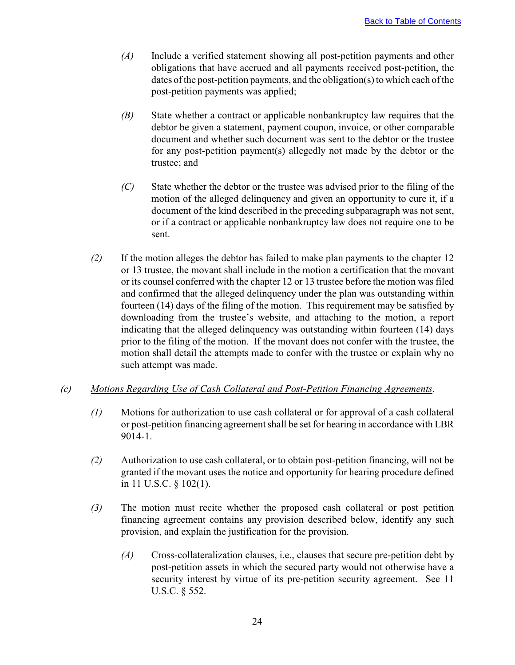- *(A)* Include a verified statement showing all post-petition payments and other obligations that have accrued and all payments received post-petition, the dates of the post-petition payments, and the obligation(s) to which each of the post-petition payments was applied;
- *(B)* State whether a contract or applicable nonbankruptcy law requires that the debtor be given a statement, payment coupon, invoice, or other comparable document and whether such document was sent to the debtor or the trustee for any post-petition payment(s) allegedly not made by the debtor or the trustee; and
- *(C)* State whether the debtor or the trustee was advised prior to the filing of the motion of the alleged delinquency and given an opportunity to cure it, if a document of the kind described in the preceding subparagraph was not sent, or if a contract or applicable nonbankruptcy law does not require one to be sent.
- *(2)* If the motion alleges the debtor has failed to make plan payments to the chapter 12 or 13 trustee, the movant shall include in the motion a certification that the movant or its counsel conferred with the chapter 12 or 13 trustee before the motion was filed and confirmed that the alleged delinquency under the plan was outstanding within fourteen (14) days of the filing of the motion. This requirement may be satisfied by downloading from the trustee's website, and attaching to the motion, a report indicating that the alleged delinquency was outstanding within fourteen (14) days prior to the filing of the motion. If the movant does not confer with the trustee, the motion shall detail the attempts made to confer with the trustee or explain why no such attempt was made.

## *(c) Motions Regarding Use of Cash Collateral and Post-Petition Financing Agreements*.

- *(1)* Motions for authorization to use cash collateral or for approval of a cash collateral or post-petition financing agreement shall be set for hearing in accordance with LBR 9014-1.
- *(2)* Authorization to use cash collateral, or to obtain post-petition financing, will not be granted if the movant uses the notice and opportunity for hearing procedure defined in 11 U.S.C. § 102(1).
- *(3)* The motion must recite whether the proposed cash collateral or post petition financing agreement contains any provision described below, identify any such provision, and explain the justification for the provision.
	- *(A)* Cross-collateralization clauses, i.e., clauses that secure pre-petition debt by post-petition assets in which the secured party would not otherwise have a security interest by virtue of its pre-petition security agreement. See 11 U.S.C. § 552.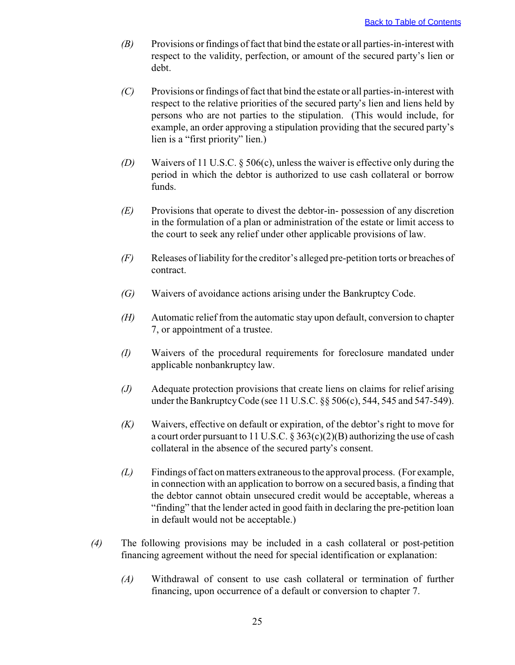- *(B)* Provisions or findings of fact that bind the estate or all parties-in-interest with respect to the validity, perfection, or amount of the secured party's lien or debt.
- *(C)* Provisions or findings of fact that bind the estate or all parties-in-interest with respect to the relative priorities of the secured party's lien and liens held by persons who are not parties to the stipulation. (This would include, for example, an order approving a stipulation providing that the secured party's lien is a "first priority" lien.)
- *(D)* Waivers of 11 U.S.C. § 506(c), unless the waiver is effective only during the period in which the debtor is authorized to use cash collateral or borrow funds.
- *(E)* Provisions that operate to divest the debtor-in- possession of any discretion in the formulation of a plan or administration of the estate or limit access to the court to seek any relief under other applicable provisions of law.
- *(F)* Releases of liability for the creditor's alleged pre-petition torts or breaches of contract.
- *(G)* Waivers of avoidance actions arising under the Bankruptcy Code.
- *(H)* Automatic relief from the automatic stay upon default, conversion to chapter 7, or appointment of a trustee.
- *(I)* Waivers of the procedural requirements for foreclosure mandated under applicable nonbankruptcy law.
- *(J)* Adequate protection provisions that create liens on claims for relief arising under the Bankruptcy Code (see 11 U.S.C. §§ 506(c), 544, 545 and 547-549).
- *(K)* Waivers, effective on default or expiration, of the debtor's right to move for a court order pursuant to 11 U.S.C. § 363(c)(2)(B) authorizing the use of cash collateral in the absence of the secured party's consent.
- *(L)* Findings of fact on matters extraneous to the approval process. (For example, in connection with an application to borrow on a secured basis, a finding that the debtor cannot obtain unsecured credit would be acceptable, whereas a "finding" that the lender acted in good faith in declaring the pre-petition loan in default would not be acceptable.)
- *(4)* The following provisions may be included in a cash collateral or post-petition financing agreement without the need for special identification or explanation:
	- *(A)* Withdrawal of consent to use cash collateral or termination of further financing, upon occurrence of a default or conversion to chapter 7.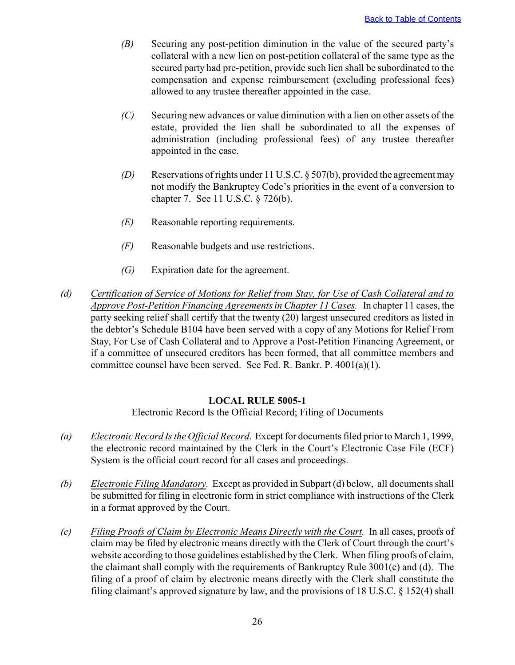- <span id="page-28-0"></span>*(B)* Securing any post-petition diminution in the value of the secured party's collateral with a new lien on post-petition collateral of the same type as the secured party had pre-petition, provide such lien shall be subordinated to the compensation and expense reimbursement (excluding professional fees) allowed to any trustee thereafter appointed in the case.
- *(C)* Securing new advances or value diminution with a lien on other assets of the estate, provided the lien shall be subordinated to all the expenses of administration (including professional fees) of any trustee thereafter appointed in the case.
- *(D)* Reservations of rights under 11 U.S.C. § 507(b), provided the agreement may not modify the Bankruptcy Code's priorities in the event of a conversion to chapter 7. See 11 U.S.C. § 726(b).
- *(E)* Reasonable reporting requirements.
- *(F)* Reasonable budgets and use restrictions.
- *(G)* Expiration date for the agreement.
- *(d) Certification of Service of Motions for Relief from Stay, for Use of Cash Collateral and to Approve Post-Petition Financing Agreements in Chapter 11 Cases.* In chapter 11 cases, the party seeking relief shall certify that the twenty (20) largest unsecured creditors as listed in the debtor's Schedule B104 have been served with a copy of any Motions for Relief From Stay, For Use of Cash Collateral and to Approve a Post-Petition Financing Agreement, or if a committee of unsecured creditors has been formed, that all committee members and committee counsel have been served. See Fed. R. Bankr. P. 4001(a)(1).

#### **LOCAL RULE 5005-1**

Electronic Record Is the Official Record; Filing of Documents

- *(a) Electronic Record Is the Official Record*. Except for documents filed prior to March 1, 1999, the electronic record maintained by the Clerk in the Court's Electronic Case File (ECF) System is the official court record for all cases and proceedings.
- *(b) Electronic Filing Mandatory.* Except as provided in Subpart (d) below, all documents shall be submitted for filing in electronic form in strict compliance with instructions of the Clerk in a format approved by the Court.
- *(c) Filing Proofs of Claim by Electronic Means Directly with the Court.* In all cases, proofs of claim may be filed by electronic means directly with the Clerk of Court through the court's website according to those guidelines established by the Clerk. When filing proofs of claim, the claimant shall comply with the requirements of Bankruptcy Rule 3001(c) and (d). The filing of a proof of claim by electronic means directly with the Clerk shall constitute the filing claimant's approved signature by law, and the provisions of 18 U.S.C. § 152(4) shall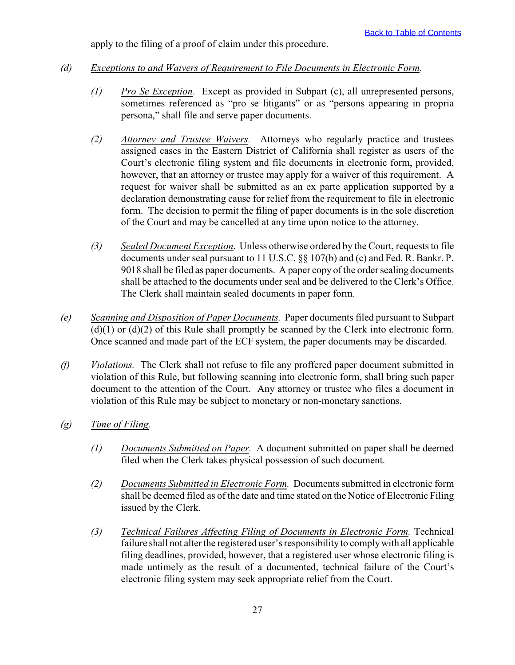apply to the filing of a proof of claim under this procedure.

- *(d) Exceptions to and Waivers of Requirement to File Documents in Electronic Form*.
	- *(1) Pro Se Exception*. Except as provided in Subpart (c), all unrepresented persons, sometimes referenced as "pro se litigants" or as "persons appearing in propria persona," shall file and serve paper documents.
	- *(2) Attorney and Trustee Waivers.* Attorneys who regularly practice and trustees assigned cases in the Eastern District of California shall register as users of the Court's electronic filing system and file documents in electronic form, provided, however, that an attorney or trustee may apply for a waiver of this requirement. A request for waiver shall be submitted as an ex parte application supported by a declaration demonstrating cause for relief from the requirement to file in electronic form. The decision to permit the filing of paper documents is in the sole discretion of the Court and may be cancelled at any time upon notice to the attorney.
	- *(3) Sealed Document Exception*. Unless otherwise ordered by the Court, requests to file documents under seal pursuant to 11 U.S.C. §§ 107(b) and (c) and Fed. R. Bankr. P. 9018 shall be filed as paper documents. A paper copy of the order sealing documents shall be attached to the documents under seal and be delivered to the Clerk's Office. The Clerk shall maintain sealed documents in paper form.
- *(e) Scanning and Disposition of Paper Documents.* Paper documents filed pursuant to Subpart  $(d)(1)$  or  $(d)(2)$  of this Rule shall promptly be scanned by the Clerk into electronic form. Once scanned and made part of the ECF system, the paper documents may be discarded.
- *(f) Violations.* The Clerk shall not refuse to file any proffered paper document submitted in violation of this Rule, but following scanning into electronic form, shall bring such paper document to the attention of the Court. Any attorney or trustee who files a document in violation of this Rule may be subject to monetary or non-monetary sanctions.
- *(g) Time of Filing.*
	- *(1) Documents Submitted on Paper.* A document submitted on paper shall be deemed filed when the Clerk takes physical possession of such document.
	- *(2) Documents Submitted in Electronic Form.* Documents submitted in electronic form shall be deemed filed as of the date and time stated on the Notice of Electronic Filing issued by the Clerk.
	- *(3) Technical Failures Affecting Filing of Documents in Electronic Form.* Technical failure shall not alter the registered user's responsibility to comply with all applicable filing deadlines, provided, however, that a registered user whose electronic filing is made untimely as the result of a documented, technical failure of the Court's electronic filing system may seek appropriate relief from the Court.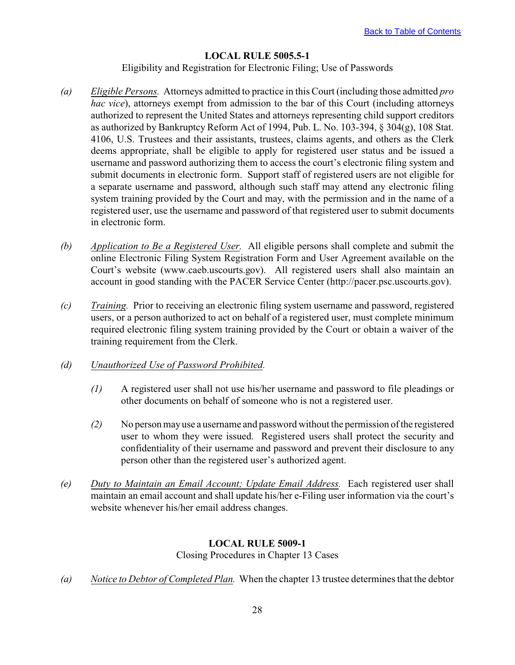## **LOCAL RULE 5005.5-1**

Eligibility and Registration for Electronic Filing; Use of Passwords

- <span id="page-30-0"></span>*(a) Eligible Persons.* Attorneys admitted to practice in this Court (including those admitted *pro hac vice*), attorneys exempt from admission to the bar of this Court (including attorneys authorized to represent the United States and attorneys representing child support creditors as authorized by Bankruptcy Reform Act of 1994, Pub. L. No. 103-394, § 304(g), 108 Stat. 4106, U.S. Trustees and their assistants, trustees, claims agents, and others as the Clerk deems appropriate, shall be eligible to apply for registered user status and be issued a username and password authorizing them to access the court's electronic filing system and submit documents in electronic form. Support staff of registered users are not eligible for a separate username and password, although such staff may attend any electronic filing system training provided by the Court and may, with the permission and in the name of a registered user, use the username and password of that registered user to submit documents in electronic form.
- *(b) Application to Be a Registered User.* All eligible persons shall complete and submit the online Electronic Filing System Registration Form and User Agreement available on the Court's website (www.caeb.uscourts.gov). All registered users shall also maintain an account in good standing with the PACER Service Center (http://pacer.psc.uscourts.gov).
- *(c) Training.* Prior to receiving an electronic filing system username and password, registered users, or a person authorized to act on behalf of a registered user, must complete minimum required electronic filing system training provided by the Court or obtain a waiver of the training requirement from the Clerk.

#### *(d) Unauthorized Use of Password Prohibited.*

- *(1)* A registered user shall not use his/her username and password to file pleadings or other documents on behalf of someone who is not a registered user.
- *(2)* No person may use a username and password without the permission of the registered user to whom they were issued. Registered users shall protect the security and confidentiality of their username and password and prevent their disclosure to any person other than the registered user's authorized agent.
- *(e) Duty to Maintain an Email Account; Update Email Address.* Each registered user shall maintain an email account and shall update his/her e-Filing user information via the court's website whenever his/her email address changes.

## **LOCAL RULE 5009-1**

Closing Procedures in Chapter 13 Cases

*(a) Notice to Debtor of Completed Plan.* When the chapter 13 trustee determines that the debtor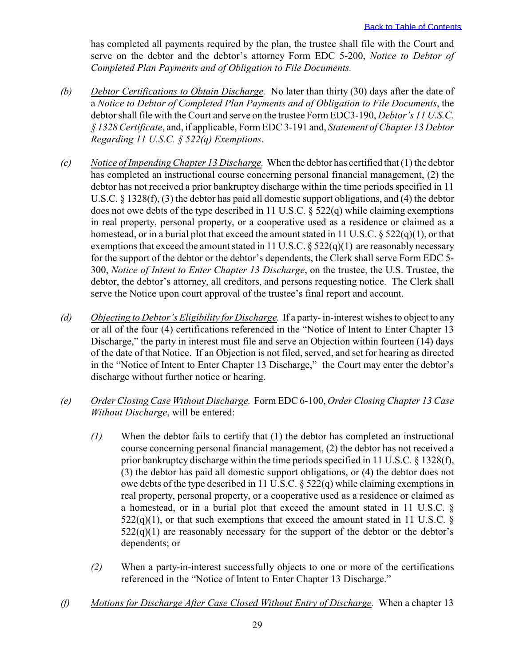has completed all payments required by the plan, the trustee shall file with the Court and serve on the debtor and the debtor's attorney Form EDC 5-200, *Notice to Debtor of Completed Plan Payments and of Obligation to File Documents.*

- *(b) Debtor Certifications to Obtain Discharge.* No later than thirty (30) days after the date of a *Notice to Debtor of Completed Plan Payments and of Obligation to File Documents*, the debtor shall file with the Court and serve on the trustee Form EDC3-190, *Debtor's 11 U.S.C. § 1328 Certificate*, and, if applicable, Form EDC 3-191 and, *Statement of Chapter 13 Debtor Regarding 11 U.S.C. § 522(q) Exemptions*.
- *(c) Notice of Impending Chapter 13 Discharge.* When the debtor has certified that (1) the debtor has completed an instructional course concerning personal financial management, (2) the debtor has not received a prior bankruptcy discharge within the time periods specified in 11 U.S.C. § 1328(f), (3) the debtor has paid all domestic support obligations, and (4) the debtor does not owe debts of the type described in 11 U.S.C. § 522(q) while claiming exemptions in real property, personal property, or a cooperative used as a residence or claimed as a homestead, or in a burial plot that exceed the amount stated in 11 U.S.C. § 522(q)(1), or that exemptions that exceed the amount stated in 11 U.S.C.  $\S$  522(q)(1) are reasonably necessary for the support of the debtor or the debtor's dependents, the Clerk shall serve Form EDC 5- 300, *Notice of Intent to Enter Chapter 13 Discharge*, on the trustee, the U.S. Trustee, the debtor, the debtor's attorney, all creditors, and persons requesting notice. The Clerk shall serve the Notice upon court approval of the trustee's final report and account.
- *(d) Objecting to Debtor's Eligibility for Discharge.* If a party- in-interest wishes to object to any or all of the four (4) certifications referenced in the "Notice of Intent to Enter Chapter 13 Discharge," the party in interest must file and serve an Objection within fourteen (14) days of the date of that Notice. If an Objection is not filed, served, and set for hearing as directed in the "Notice of Intent to Enter Chapter 13 Discharge," the Court may enter the debtor's discharge without further notice or hearing.
- *(e) Order Closing Case Without Discharge.* Form EDC 6-100, *Order Closing Chapter 13 Case Without Discharge*, will be entered:
	- *(1)* When the debtor fails to certify that (1) the debtor has completed an instructional course concerning personal financial management, (2) the debtor has not received a prior bankruptcy discharge within the time periods specified in 11 U.S.C. § 1328(f), (3) the debtor has paid all domestic support obligations, or (4) the debtor does not owe debts of the type described in 11 U.S.C. § 522(q) while claiming exemptions in real property, personal property, or a cooperative used as a residence or claimed as a homestead, or in a burial plot that exceed the amount stated in 11 U.S.C. §  $522(q)(1)$ , or that such exemptions that exceed the amount stated in 11 U.S.C. §  $522(q)(1)$  are reasonably necessary for the support of the debtor or the debtor's dependents; or
	- *(2)* When a party-in-interest successfully objects to one or more of the certifications referenced in the "Notice of Intent to Enter Chapter 13 Discharge."
- *(f) Motions for Discharge After Case Closed Without Entry of Discharge.* When a chapter 13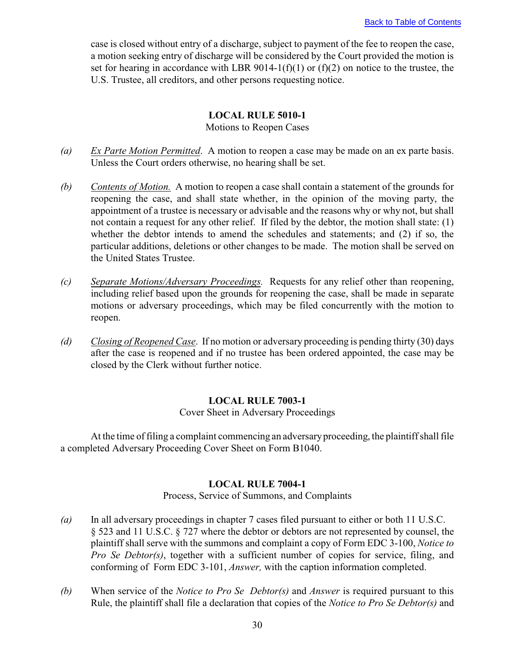<span id="page-32-0"></span>case is closed without entry of a discharge, subject to payment of the fee to reopen the case, a motion seeking entry of discharge will be considered by the Court provided the motion is set for hearing in accordance with LBR 9014-1(f)(1) or (f)(2) on notice to the trustee, the U.S. Trustee, all creditors, and other persons requesting notice.

#### **LOCAL RULE 5010-1**

Motions to Reopen Cases

- *(a) Ex Parte Motion Permitted*. A motion to reopen a case may be made on an ex parte basis. Unless the Court orders otherwise, no hearing shall be set.
- *(b) Contents of Motion.* A motion to reopen a case shall contain a statement of the grounds for reopening the case, and shall state whether, in the opinion of the moving party, the appointment of a trustee is necessary or advisable and the reasons why or why not, but shall not contain a request for any other relief. If filed by the debtor, the motion shall state: (1) whether the debtor intends to amend the schedules and statements; and (2) if so, the particular additions, deletions or other changes to be made. The motion shall be served on the United States Trustee.
- *(c) Separate Motions/Adversary Proceedings.* Requests for any relief other than reopening, including relief based upon the grounds for reopening the case, shall be made in separate motions or adversary proceedings, which may be filed concurrently with the motion to reopen.
- *(d) Closing of Reopened Case*. If no motion or adversary proceeding is pending thirty (30) days after the case is reopened and if no trustee has been ordered appointed, the case may be closed by the Clerk without further notice.

## **LOCAL RULE 7003-1**

Cover Sheet in Adversary Proceedings

At the time of filing a complaint commencing an adversary proceeding, the plaintiff shall file a completed Adversary Proceeding Cover Sheet on Form B1040.

#### **LOCAL RULE 7004-1**

Process, Service of Summons, and Complaints

- *(a)* In all adversary proceedings in chapter 7 cases filed pursuant to either or both 11 U.S.C. § 523 and 11 U.S.C. § 727 where the debtor or debtors are not represented by counsel, the plaintiff shall serve with the summons and complaint a copy of Form EDC 3-100, *Notice to Pro Se Debtor(s)*, together with a sufficient number of copies for service, filing, and conforming of Form EDC 3-101, *Answer,* with the caption information completed.
- *(b)* When service of the *Notice to Pro Se Debtor(s)* and *Answer* is required pursuant to this Rule, the plaintiff shall file a declaration that copies of the *Notice to Pro Se Debtor(s)* and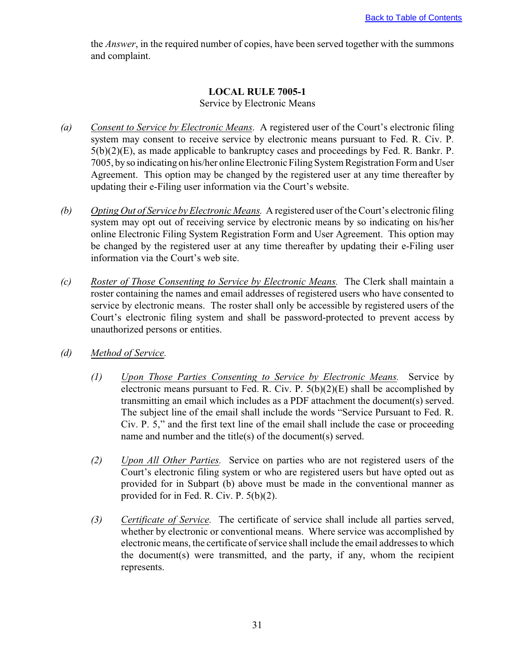<span id="page-33-0"></span>the *Answer*, in the required number of copies, have been served together with the summons and complaint.

#### **LOCAL RULE 7005-1** Service by Electronic Means

- *(a) Consent to Service by Electronic Means*. A registered user of the Court's electronic filing system may consent to receive service by electronic means pursuant to Fed. R. Civ. P. 5(b)(2)(E), as made applicable to bankruptcy cases and proceedings by Fed. R. Bankr. P. 7005, by so indicating on his/her online Electronic Filing System Registration Form and User Agreement. This option may be changed by the registered user at any time thereafter by updating their e-Filing user information via the Court's website.
- *(b) Opting Out of Service by Electronic Means.* A registered user of the Court's electronic filing system may opt out of receiving service by electronic means by so indicating on his/her online Electronic Filing System Registration Form and User Agreement. This option may be changed by the registered user at any time thereafter by updating their e-Filing user information via the Court's web site.
- *(c) Roster of Those Consenting to Service by Electronic Means.* The Clerk shall maintain a roster containing the names and email addresses of registered users who have consented to service by electronic means. The roster shall only be accessible by registered users of the Court's electronic filing system and shall be password-protected to prevent access by unauthorized persons or entities.
- *(d) Method of Service.*
	- *(1) Upon Those Parties Consenting to Service by Electronic Means.* Service by electronic means pursuant to Fed. R. Civ. P.  $5(b)(2)(E)$  shall be accomplished by transmitting an email which includes as a PDF attachment the document(s) served. The subject line of the email shall include the words "Service Pursuant to Fed. R. Civ. P. 5," and the first text line of the email shall include the case or proceeding name and number and the title(s) of the document(s) served.
	- *(2) Upon All Other Parties.* Service on parties who are not registered users of the Court's electronic filing system or who are registered users but have opted out as provided for in Subpart (b) above must be made in the conventional manner as provided for in Fed. R. Civ. P. 5(b)(2).
	- *(3) Certificate of Service.* The certificate of service shall include all parties served, whether by electronic or conventional means. Where service was accomplished by electronic means, the certificate of service shall include the email addresses to which the document(s) were transmitted, and the party, if any, whom the recipient represents.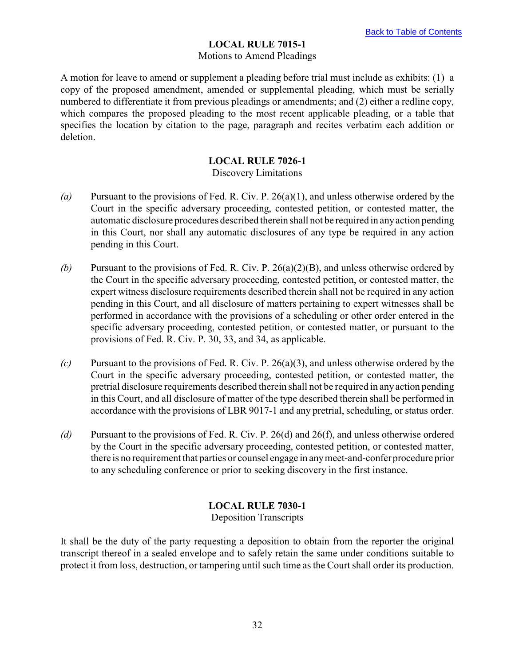## **LOCAL RULE 7015-1**

#### Motions to Amend Pleadings

<span id="page-34-0"></span>A motion for leave to amend or supplement a pleading before trial must include as exhibits: (1) a copy of the proposed amendment, amended or supplemental pleading, which must be serially numbered to differentiate it from previous pleadings or amendments; and (2) either a redline copy, which compares the proposed pleading to the most recent applicable pleading, or a table that specifies the location by citation to the page, paragraph and recites verbatim each addition or deletion.

## **LOCAL RULE 7026-1**

## Discovery Limitations

- *(a)* Pursuant to the provisions of Fed. R. Civ. P. 26(a)(1), and unless otherwise ordered by the Court in the specific adversary proceeding, contested petition, or contested matter, the automatic disclosure procedures described therein shall not be required in any action pending in this Court, nor shall any automatic disclosures of any type be required in any action pending in this Court.
- *(b)* Pursuant to the provisions of Fed. R. Civ. P. 26(a)(2)(B), and unless otherwise ordered by the Court in the specific adversary proceeding, contested petition, or contested matter, the expert witness disclosure requirements described therein shall not be required in any action pending in this Court, and all disclosure of matters pertaining to expert witnesses shall be performed in accordance with the provisions of a scheduling or other order entered in the specific adversary proceeding, contested petition, or contested matter, or pursuant to the provisions of Fed. R. Civ. P. 30, 33, and 34, as applicable.
- *(c)* Pursuant to the provisions of Fed. R. Civ. P. 26(a)(3), and unless otherwise ordered by the Court in the specific adversary proceeding, contested petition, or contested matter, the pretrial disclosure requirements described therein shall not be required in any action pending in this Court, and all disclosure of matter of the type described therein shall be performed in accordance with the provisions of LBR 9017-1 and any pretrial, scheduling, or status order.
- *(d)* Pursuant to the provisions of Fed. R. Civ. P. 26(d) and 26(f), and unless otherwise ordered by the Court in the specific adversary proceeding, contested petition, or contested matter, there is no requirement that parties or counsel engage in any meet-and-confer procedure prior to any scheduling conference or prior to seeking discovery in the first instance.

# **LOCAL RULE 7030-1**

Deposition Transcripts

It shall be the duty of the party requesting a deposition to obtain from the reporter the original transcript thereof in a sealed envelope and to safely retain the same under conditions suitable to protect it from loss, destruction, or tampering until such time as the Court shall order its production.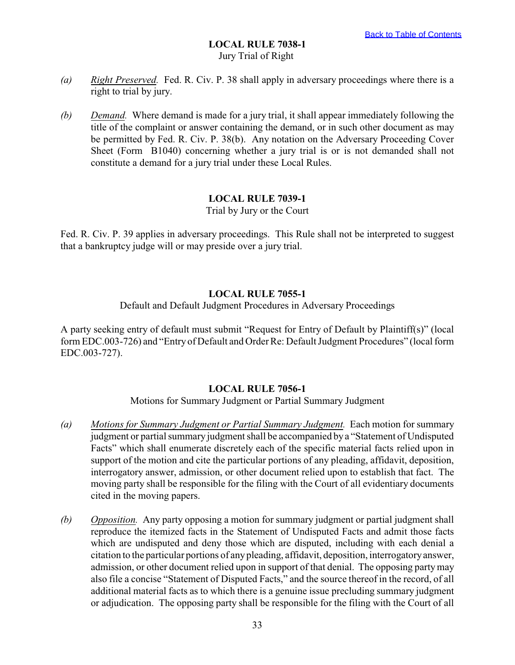## **LOCAL RULE 7038-1** Jury Trial of Right

- <span id="page-35-0"></span>*(a) Right Preserved.* Fed. R. Civ. P. 38 shall apply in adversary proceedings where there is a right to trial by jury.
- *(b) Demand.* Where demand is made for a jury trial, it shall appear immediately following the title of the complaint or answer containing the demand, or in such other document as may be permitted by Fed. R. Civ. P. 38(b). Any notation on the Adversary Proceeding Cover Sheet (Form B1040) concerning whether a jury trial is or is not demanded shall not constitute a demand for a jury trial under these Local Rules.

## **LOCAL RULE 7039-1**

Trial by Jury or the Court

Fed. R. Civ. P. 39 applies in adversary proceedings. This Rule shall not be interpreted to suggest that a bankruptcy judge will or may preside over a jury trial.

## **LOCAL RULE 7055-1**

Default and Default Judgment Procedures in Adversary Proceedings

A party seeking entry of default must submit "Request for Entry of Default by Plaintiff(s)" (local form EDC.003-726) and "Entry of Default and Order Re: Default Judgment Procedures" (local form EDC.003-727).

#### **LOCAL RULE 7056-1**

Motions for Summary Judgment or Partial Summary Judgment

- *(a) Motions for Summary Judgment or Partial Summary Judgment.* Each motion for summary judgment or partial summary judgment shall be accompanied by a "Statement of Undisputed Facts" which shall enumerate discretely each of the specific material facts relied upon in support of the motion and cite the particular portions of any pleading, affidavit, deposition, interrogatory answer, admission, or other document relied upon to establish that fact. The moving party shall be responsible for the filing with the Court of all evidentiary documents cited in the moving papers.
- *(b) Opposition.* Any party opposing a motion for summary judgment or partial judgment shall reproduce the itemized facts in the Statement of Undisputed Facts and admit those facts which are undisputed and deny those which are disputed, including with each denial a citation to the particular portions of any pleading, affidavit, deposition, interrogatory answer, admission, or other document relied upon in support of that denial. The opposing party may also file a concise "Statement of Disputed Facts," and the source thereof in the record, of all additional material facts as to which there is a genuine issue precluding summary judgment or adjudication. The opposing party shall be responsible for the filing with the Court of all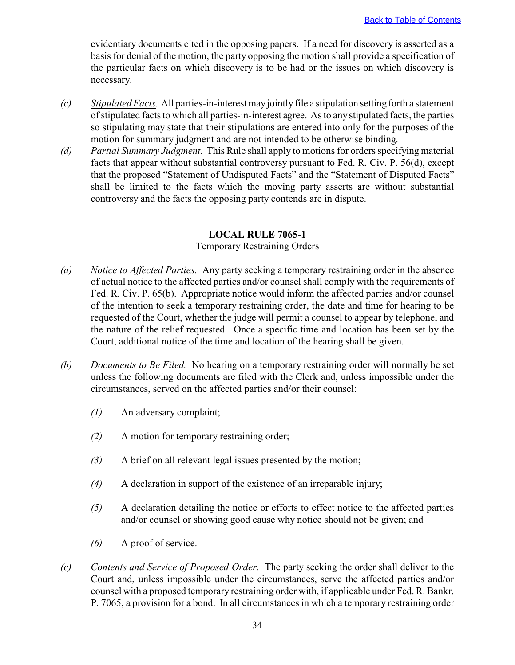<span id="page-36-0"></span>evidentiary documents cited in the opposing papers. If a need for discovery is asserted as a basis for denial of the motion, the party opposing the motion shall provide a specification of the particular facts on which discovery is to be had or the issues on which discovery is necessary.

- *(c) Stipulated Facts.* All parties-in-interest may jointly file a stipulation setting forth a statement of stipulated facts to which all parties-in-interest agree. As to any stipulated facts, the parties so stipulating may state that their stipulations are entered into only for the purposes of the motion for summary judgment and are not intended to be otherwise binding.
- *(d) Partial Summary Judgment.* This Rule shall apply to motions for orders specifying material facts that appear without substantial controversy pursuant to Fed. R. Civ. P. 56(d), except that the proposed "Statement of Undisputed Facts" and the "Statement of Disputed Facts" shall be limited to the facts which the moving party asserts are without substantial controversy and the facts the opposing party contends are in dispute.

## **LOCAL RULE 7065-1**

## Temporary Restraining Orders

- *(a) Notice to Affected Parties.* Any party seeking a temporary restraining order in the absence of actual notice to the affected parties and/or counsel shall comply with the requirements of Fed. R. Civ. P. 65(b). Appropriate notice would inform the affected parties and/or counsel of the intention to seek a temporary restraining order, the date and time for hearing to be requested of the Court, whether the judge will permit a counsel to appear by telephone, and the nature of the relief requested. Once a specific time and location has been set by the Court, additional notice of the time and location of the hearing shall be given.
- *(b) Documents to Be Filed.* No hearing on a temporary restraining order will normally be set unless the following documents are filed with the Clerk and, unless impossible under the circumstances, served on the affected parties and/or their counsel:
	- *(1)* An adversary complaint;
	- *(2)* A motion for temporary restraining order;
	- *(3)* A brief on all relevant legal issues presented by the motion;
	- *(4)* A declaration in support of the existence of an irreparable injury;
	- *(5)* A declaration detailing the notice or efforts to effect notice to the affected parties and/or counsel or showing good cause why notice should not be given; and
	- *(6)* A proof of service.
- *(c) Contents and Service of Proposed Order.* The party seeking the order shall deliver to the Court and, unless impossible under the circumstances, serve the affected parties and/or counsel with a proposed temporary restraining order with, if applicable under Fed. R. Bankr. P. 7065, a provision for a bond. In all circumstances in which a temporary restraining order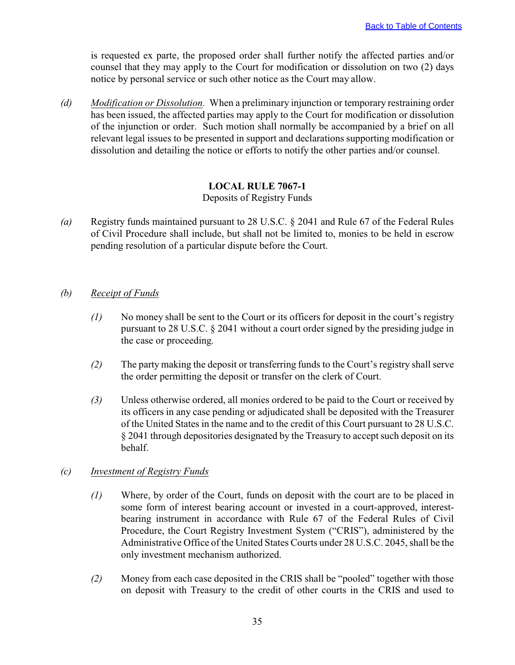<span id="page-37-0"></span>is requested ex parte, the proposed order shall further notify the affected parties and/or counsel that they may apply to the Court for modification or dissolution on two (2) days notice by personal service or such other notice as the Court may allow.

*(d) Modification or Dissolution.* When a preliminary injunction or temporary restraining order has been issued, the affected parties may apply to the Court for modification or dissolution of the injunction or order. Such motion shall normally be accompanied by a brief on all relevant legal issues to be presented in support and declarations supporting modification or dissolution and detailing the notice or efforts to notify the other parties and/or counsel.

## **LOCAL RULE 7067-1**

## Deposits of Registry Funds

*(a)* Registry funds maintained pursuant to 28 U.S.C. § 2041 and Rule 67 of the Federal Rules of Civil Procedure shall include, but shall not be limited to, monies to be held in escrow pending resolution of a particular dispute before the Court.

## *(b) Receipt of Funds*

- *(1)* No money shall be sent to the Court or its officers for deposit in the court's registry pursuant to 28 U.S.C. § 2041 without a court order signed by the presiding judge in the case or proceeding.
- *(2)* The party making the deposit or transferring funds to the Court's registry shall serve the order permitting the deposit or transfer on the clerk of Court.
- *(3)* Unless otherwise ordered, all monies ordered to be paid to the Court or received by its officers in any case pending or adjudicated shall be deposited with the Treasurer of the United States in the name and to the credit of this Court pursuant to 28 U.S.C. § 2041 through depositories designated by the Treasury to accept such deposit on its behalf.

## *(c) Investment of Registry Funds*

- *(1)* Where, by order of the Court, funds on deposit with the court are to be placed in some form of interest bearing account or invested in a court-approved, interestbearing instrument in accordance with Rule 67 of the Federal Rules of Civil Procedure, the Court Registry Investment System ("CRIS"), administered by the Administrative Office of the United States Courts under 28 U.S.C. 2045, shall be the only investment mechanism authorized.
- *(2)* Money from each case deposited in the CRIS shall be "pooled" together with those on deposit with Treasury to the credit of other courts in the CRIS and used to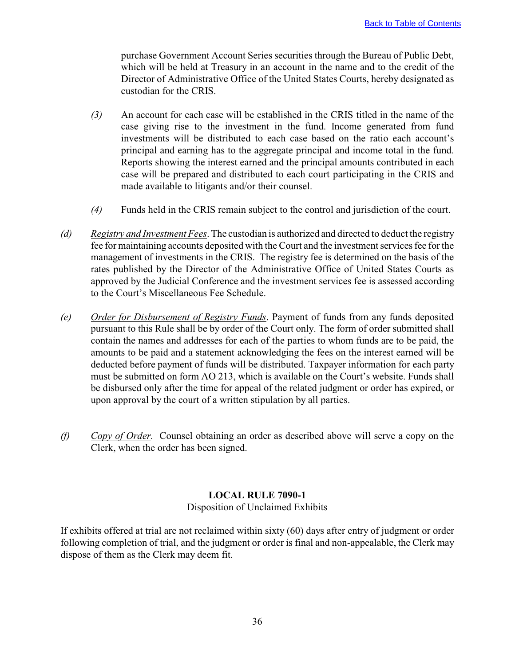<span id="page-38-0"></span>purchase Government Account Series securities through the Bureau of Public Debt, which will be held at Treasury in an account in the name and to the credit of the Director of Administrative Office of the United States Courts, hereby designated as custodian for the CRIS.

- *(3)* An account for each case will be established in the CRIS titled in the name of the case giving rise to the investment in the fund. Income generated from fund investments will be distributed to each case based on the ratio each account's principal and earning has to the aggregate principal and income total in the fund. Reports showing the interest earned and the principal amounts contributed in each case will be prepared and distributed to each court participating in the CRIS and made available to litigants and/or their counsel.
- *(4)* Funds held in the CRIS remain subject to the control and jurisdiction of the court.
- *(d) Registry and Investment Fees*. The custodian is authorized and directed to deduct the registry fee for maintaining accounts deposited with the Court and the investment services fee for the management of investments in the CRIS. The registry fee is determined on the basis of the rates published by the Director of the Administrative Office of United States Courts as approved by the Judicial Conference and the investment services fee is assessed according to the Court's Miscellaneous Fee Schedule.
- *(e) Order for Disbursement of Registry Funds*. Payment of funds from any funds deposited pursuant to this Rule shall be by order of the Court only. The form of order submitted shall contain the names and addresses for each of the parties to whom funds are to be paid, the amounts to be paid and a statement acknowledging the fees on the interest earned will be deducted before payment of funds will be distributed. Taxpayer information for each party must be submitted on form AO 213, which is available on the Court's website. Funds shall be disbursed only after the time for appeal of the related judgment or order has expired, or upon approval by the court of a written stipulation by all parties.
- *(f) Copy of Order.* Counsel obtaining an order as described above will serve a copy on the Clerk, when the order has been signed.

# **LOCAL RULE 7090-1**

Disposition of Unclaimed Exhibits

If exhibits offered at trial are not reclaimed within sixty (60) days after entry of judgment or order following completion of trial, and the judgment or order is final and non-appealable, the Clerk may dispose of them as the Clerk may deem fit.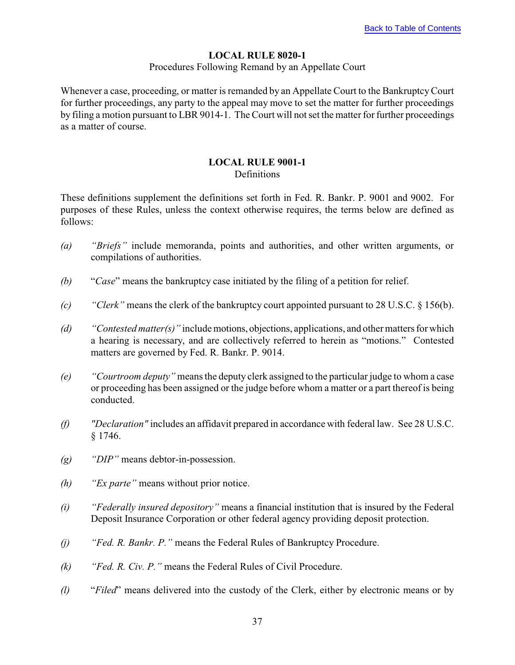# **LOCAL RULE 8020-1**

#### Procedures Following Remand by an Appellate Court

<span id="page-39-0"></span>Whenever a case, proceeding, or matter is remanded by an Appellate Court to the Bankruptcy Court for further proceedings, any party to the appeal may move to set the matter for further proceedings by filing a motion pursuant to LBR 9014-1. The Court will not set the matter for further proceedings as a matter of course.

# **LOCAL RULE 9001-1**

## **Definitions**

These definitions supplement the definitions set forth in Fed. R. Bankr. P. 9001 and 9002. For purposes of these Rules, unless the context otherwise requires, the terms below are defined as follows:

- *(a) "Briefs"* include memoranda, points and authorities, and other written arguments, or compilations of authorities.
- *(b)* "*Case*" means the bankruptcy case initiated by the filing of a petition for relief.
- *(c) "Clerk"* means the clerk of the bankruptcy court appointed pursuant to 28 U.S.C. § 156(b).
- *(d) "Contested matter(s)"* include motions, objections, applications, and other matters for which a hearing is necessary, and are collectively referred to herein as "motions." Contested matters are governed by Fed. R. Bankr. P. 9014.
- *(e) "Courtroom deputy"* means the deputy clerk assigned to the particular judge to whom a case or proceeding has been assigned or the judge before whom a matter or a part thereof is being conducted.
- *(f) "Declaration"* includes an affidavit prepared in accordance with federal law. See 28 U.S.C. § 1746.
- *(g) "DIP"* means debtor-in-possession.
- *(h) "Ex parte"* means without prior notice.
- *(i) "Federally insured depository"* means a financial institution that is insured by the Federal Deposit Insurance Corporation or other federal agency providing deposit protection.
- *(j) "Fed. R. Bankr. P."* means the Federal Rules of Bankruptcy Procedure.
- *(k) "Fed. R. Civ. P."* means the Federal Rules of Civil Procedure.
- *(l)* "*Filed*" means delivered into the custody of the Clerk, either by electronic means or by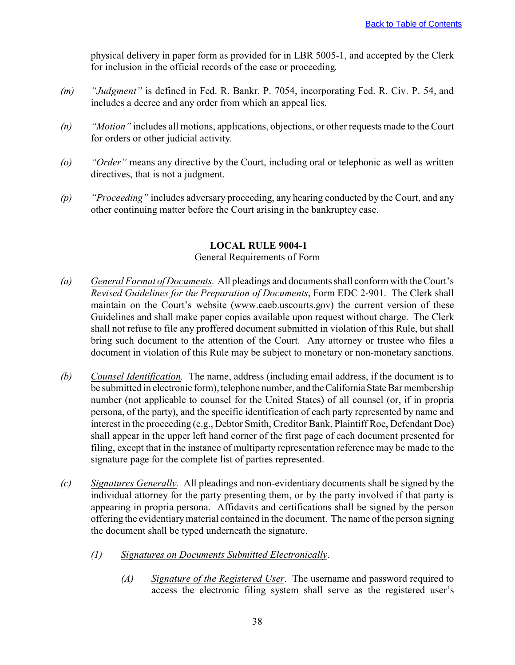<span id="page-40-0"></span>physical delivery in paper form as provided for in LBR 5005-1, and accepted by the Clerk for inclusion in the official records of the case or proceeding.

- *(m) "Judgment"* is defined in Fed. R. Bankr. P. 7054, incorporating Fed. R. Civ. P. 54, and includes a decree and any order from which an appeal lies.
- *(n) "Motion"* includes all motions, applications, objections, or other requests made to the Court for orders or other judicial activity.
- *(o) "Order"* means any directive by the Court, including oral or telephonic as well as written directives, that is not a judgment.
- *(p) "Proceeding"* includes adversary proceeding, any hearing conducted by the Court, and any other continuing matter before the Court arising in the bankruptcy case.

## **LOCAL RULE 9004-1**

## General Requirements of Form

- *(a) General Format of Documents.* All pleadings and documents shall conform with the Court's *Revised Guidelines for the Preparation of Documents*, Form EDC 2-901. The Clerk shall maintain on the Court's website (www.caeb.uscourts.gov) the current version of these Guidelines and shall make paper copies available upon request without charge. The Clerk shall not refuse to file any proffered document submitted in violation of this Rule, but shall bring such document to the attention of the Court. Any attorney or trustee who files a document in violation of this Rule may be subject to monetary or non-monetary sanctions.
- *(b) Counsel Identification.* The name, address (including email address, if the document is to be submitted in electronic form), telephone number, and the California State Bar membership number (not applicable to counsel for the United States) of all counsel (or, if in propria persona, of the party), and the specific identification of each party represented by name and interest in the proceeding (e.g., Debtor Smith, Creditor Bank, Plaintiff Roe, Defendant Doe) shall appear in the upper left hand corner of the first page of each document presented for filing, except that in the instance of multiparty representation reference may be made to the signature page for the complete list of parties represented.
- *(c) Signatures Generally.* All pleadings and non-evidentiary documents shall be signed by the individual attorney for the party presenting them, or by the party involved if that party is appearing in propria persona. Affidavits and certifications shall be signed by the person offering the evidentiary material contained in the document. The name of the person signing the document shall be typed underneath the signature.
	- *(1) Signatures on Documents Submitted Electronically*.
		- *(A) Signature of the Registered User*. The username and password required to access the electronic filing system shall serve as the registered user's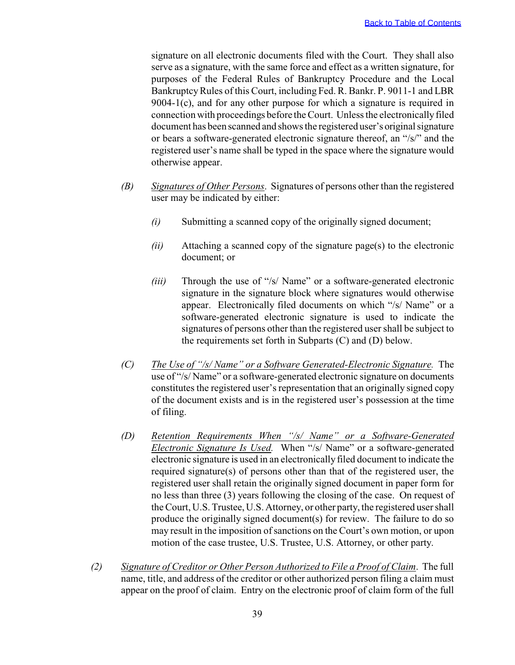signature on all electronic documents filed with the Court. They shall also serve as a signature, with the same force and effect as a written signature, for purposes of the Federal Rules of Bankruptcy Procedure and the Local Bankruptcy Rules of this Court, including Fed. R. Bankr. P. 9011-1 and LBR 9004-1(c), and for any other purpose for which a signature is required in connection with proceedings before the Court. Unless the electronically filed document has been scanned and shows the registered user's original signature or bears a software-generated electronic signature thereof, an "/s/" and the registered user's name shall be typed in the space where the signature would otherwise appear.

- *(B) Signatures of Other Persons*. Signatures of persons other than the registered user may be indicated by either:
	- *(i)* Submitting a scanned copy of the originally signed document;
	- *(ii)* Attaching a scanned copy of the signature page(s) to the electronic document; or
	- *(iii)* Through the use of "/s/ Name" or a software-generated electronic signature in the signature block where signatures would otherwise appear. Electronically filed documents on which "/s/ Name" or a software-generated electronic signature is used to indicate the signatures of persons other than the registered user shall be subject to the requirements set forth in Subparts (C) and (D) below.
- *(C) The Use of "/s/ Name" or a Software Generated-Electronic Signature.* The use of "/s/ Name" or a software-generated electronic signature on documents constitutes the registered user's representation that an originally signed copy of the document exists and is in the registered user's possession at the time of filing.
- *(D) Retention Requirements When "/s/ Name" or a Software-Generated Electronic Signature Is Used.* When "/s/ Name" or a software-generated electronic signature is used in an electronically filed document to indicate the required signature(s) of persons other than that of the registered user, the registered user shall retain the originally signed document in paper form for no less than three (3) years following the closing of the case. On request of the Court, U.S. Trustee, U.S. Attorney, or other party, the registered user shall produce the originally signed document(s) for review. The failure to do so may result in the imposition of sanctions on the Court's own motion, or upon motion of the case trustee, U.S. Trustee, U.S. Attorney, or other party.
- *(2) Signature of Creditor or Other Person Authorized to File a Proof of Claim*. The full name, title, and address of the creditor or other authorized person filing a claim must appear on the proof of claim. Entry on the electronic proof of claim form of the full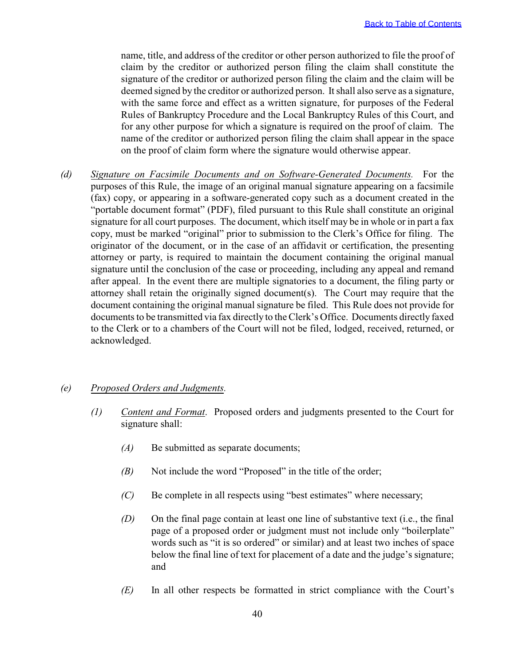name, title, and address of the creditor or other person authorized to file the proof of claim by the creditor or authorized person filing the claim shall constitute the signature of the creditor or authorized person filing the claim and the claim will be deemed signed by the creditor or authorized person. It shall also serve as a signature, with the same force and effect as a written signature, for purposes of the Federal Rules of Bankruptcy Procedure and the Local Bankruptcy Rules of this Court, and for any other purpose for which a signature is required on the proof of claim. The name of the creditor or authorized person filing the claim shall appear in the space on the proof of claim form where the signature would otherwise appear.

*(d) Signature on Facsimile Documents and on Software-Generated Documents.* For the purposes of this Rule, the image of an original manual signature appearing on a facsimile (fax) copy, or appearing in a software-generated copy such as a document created in the "portable document format" (PDF), filed pursuant to this Rule shall constitute an original signature for all court purposes. The document, which itself may be in whole or in part a fax copy, must be marked "original" prior to submission to the Clerk's Office for filing. The originator of the document, or in the case of an affidavit or certification, the presenting attorney or party, is required to maintain the document containing the original manual signature until the conclusion of the case or proceeding, including any appeal and remand after appeal. In the event there are multiple signatories to a document, the filing party or attorney shall retain the originally signed document(s). The Court may require that the document containing the original manual signature be filed. This Rule does not provide for documents to be transmitted via fax directly to the Clerk's Office. Documents directly faxed to the Clerk or to a chambers of the Court will not be filed, lodged, received, returned, or acknowledged.

#### *(e) Proposed Orders and Judgments.*

- *(1) Content and Format*. Proposed orders and judgments presented to the Court for signature shall:
	- *(A)* Be submitted as separate documents;
	- *(B)* Not include the word "Proposed" in the title of the order;
	- *(C)* Be complete in all respects using "best estimates" where necessary;
	- *(D)* On the final page contain at least one line of substantive text (i.e., the final page of a proposed order or judgment must not include only "boilerplate" words such as "it is so ordered" or similar) and at least two inches of space below the final line of text for placement of a date and the judge's signature; and
	- *(E)* In all other respects be formatted in strict compliance with the Court's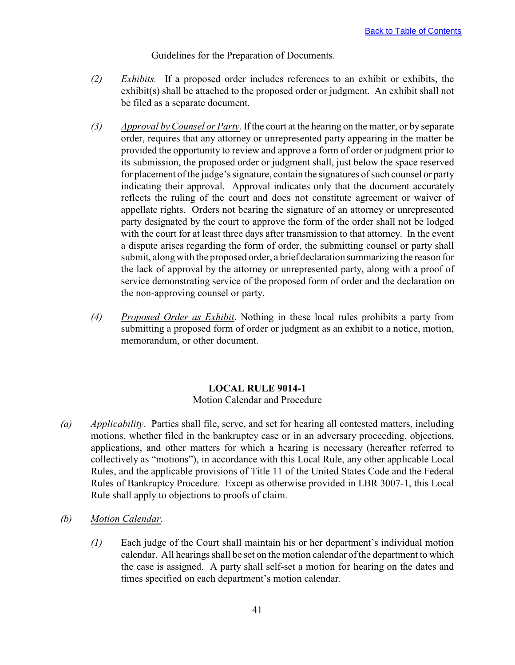Guidelines for the Preparation of Documents.

- <span id="page-43-0"></span>*(2) Exhibits.* If a proposed order includes references to an exhibit or exhibits, the exhibit(s) shall be attached to the proposed order or judgment. An exhibit shall not be filed as a separate document.
- *(3) Approval by Counsel or Party*. If the court at the hearing on the matter, or by separate order, requires that any attorney or unrepresented party appearing in the matter be provided the opportunity to review and approve a form of order or judgment prior to its submission, the proposed order or judgment shall, just below the space reserved for placement of the judge's signature, contain the signatures of such counsel or party indicating their approval. Approval indicates only that the document accurately reflects the ruling of the court and does not constitute agreement or waiver of appellate rights. Orders not bearing the signature of an attorney or unrepresented party designated by the court to approve the form of the order shall not be lodged with the court for at least three days after transmission to that attorney. In the event a dispute arises regarding the form of order, the submitting counsel or party shall submit, along with the proposed order, a brief declaration summarizing the reason for the lack of approval by the attorney or unrepresented party, along with a proof of service demonstrating service of the proposed form of order and the declaration on the non-approving counsel or party.
- *(4) Proposed Order as Exhibit*. Nothing in these local rules prohibits a party from submitting a proposed form of order or judgment as an exhibit to a notice, motion, memorandum, or other document.

## **LOCAL RULE 9014-1**

#### Motion Calendar and Procedure

- *(a) Applicability.* Parties shall file, serve, and set for hearing all contested matters, including motions, whether filed in the bankruptcy case or in an adversary proceeding, objections, applications, and other matters for which a hearing is necessary (hereafter referred to collectively as "motions"), in accordance with this Local Rule, any other applicable Local Rules, and the applicable provisions of Title 11 of the United States Code and the Federal Rules of Bankruptcy Procedure. Except as otherwise provided in LBR 3007-1, this Local Rule shall apply to objections to proofs of claim.
- *(b) Motion Calendar.*
	- *(1)* Each judge of the Court shall maintain his or her department's individual motion calendar. All hearings shall be set on the motion calendar of the department to which the case is assigned. A party shall self-set a motion for hearing on the dates and times specified on each department's motion calendar.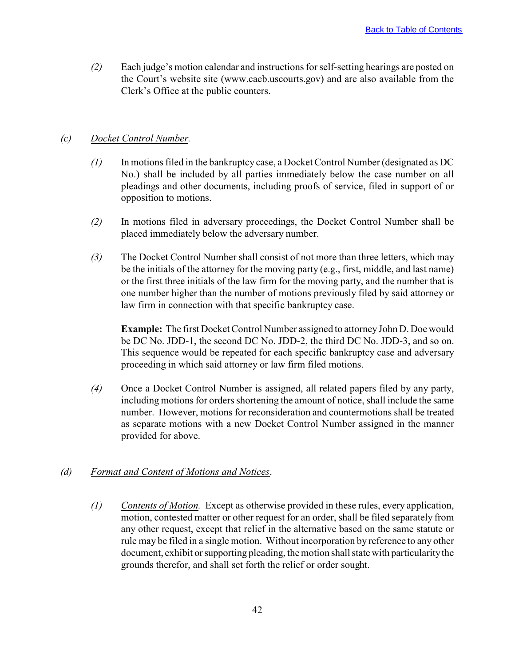*(2)* Each judge's motion calendar and instructions for self-setting hearings are posted on the Court's website site (www.caeb.uscourts.gov) and are also available from the Clerk's Office at the public counters.

#### *(c) Docket Control Number.*

- *(1)* In motions filed in the bankruptcy case, a Docket Control Number (designated as DC No.) shall be included by all parties immediately below the case number on all pleadings and other documents, including proofs of service, filed in support of or opposition to motions.
- *(2)* In motions filed in adversary proceedings, the Docket Control Number shall be placed immediately below the adversary number.
- *(3)* The Docket Control Number shall consist of not more than three letters, which may be the initials of the attorney for the moving party (e.g., first, middle, and last name) or the first three initials of the law firm for the moving party, and the number that is one number higher than the number of motions previously filed by said attorney or law firm in connection with that specific bankruptcy case.

**Example:** The first Docket Control Number assigned to attorney John D. Doe would be DC No. JDD-1, the second DC No. JDD-2, the third DC No. JDD-3, and so on. This sequence would be repeated for each specific bankruptcy case and adversary proceeding in which said attorney or law firm filed motions.

*(4)* Once a Docket Control Number is assigned, all related papers filed by any party, including motions for orders shortening the amount of notice, shall include the same number. However, motions for reconsideration and countermotions shall be treated as separate motions with a new Docket Control Number assigned in the manner provided for above.

## *(d) Format and Content of Motions and Notices*.

*(1) Contents of Motion.* Except as otherwise provided in these rules, every application, motion, contested matter or other request for an order, shall be filed separately from any other request, except that relief in the alternative based on the same statute or rule may be filed in a single motion. Without incorporation by reference to any other document, exhibit or supporting pleading, the motion shall state with particularity the grounds therefor, and shall set forth the relief or order sought.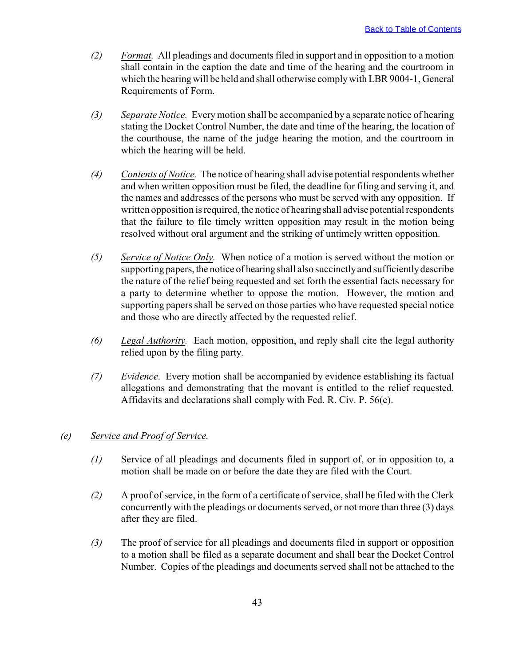- *(2) Format.* All pleadings and documents filed in support and in opposition to a motion shall contain in the caption the date and time of the hearing and the courtroom in which the hearing will be held and shall otherwise comply with LBR 9004-1, General Requirements of Form.
- *(3) Separate Notice.* Every motion shall be accompanied by a separate notice of hearing stating the Docket Control Number, the date and time of the hearing, the location of the courthouse, the name of the judge hearing the motion, and the courtroom in which the hearing will be held.
- *(4) Contents of Notice.* The notice of hearing shall advise potential respondents whether and when written opposition must be filed, the deadline for filing and serving it, and the names and addresses of the persons who must be served with any opposition. If written opposition is required, the notice of hearing shall advise potential respondents that the failure to file timely written opposition may result in the motion being resolved without oral argument and the striking of untimely written opposition.
- *(5) Service of Notice Only.* When notice of a motion is served without the motion or supporting papers, the notice of hearing shall also succinctly and sufficiently describe the nature of the relief being requested and set forth the essential facts necessary for a party to determine whether to oppose the motion. However, the motion and supporting papers shall be served on those parties who have requested special notice and those who are directly affected by the requested relief.
- *(6) Legal Authority.* Each motion, opposition, and reply shall cite the legal authority relied upon by the filing party.
- *(7) Evidence*. Every motion shall be accompanied by evidence establishing its factual allegations and demonstrating that the movant is entitled to the relief requested. Affidavits and declarations shall comply with Fed. R. Civ. P. 56(e).

## *(e) Service and Proof of Service.*

- *(1)* Service of all pleadings and documents filed in support of, or in opposition to, a motion shall be made on or before the date they are filed with the Court.
- *(2)* A proof of service, in the form of a certificate of service, shall be filed with the Clerk concurrently with the pleadings or documents served, or not more than three (3) days after they are filed.
- *(3)* The proof of service for all pleadings and documents filed in support or opposition to a motion shall be filed as a separate document and shall bear the Docket Control Number. Copies of the pleadings and documents served shall not be attached to the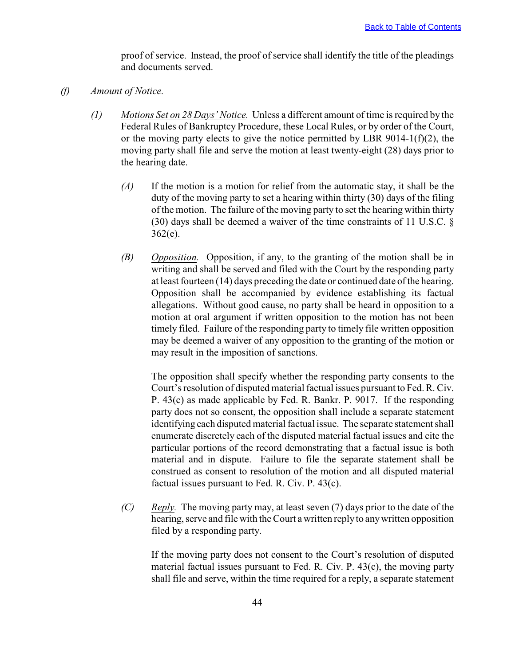proof of service. Instead, the proof of service shall identify the title of the pleadings and documents served.

- *(f) Amount of Notice.*
	- *(1) Motions Set on 28 Days' Notice.* Unless a different amount of time is required by the Federal Rules of Bankruptcy Procedure, these Local Rules, or by order of the Court, or the moving party elects to give the notice permitted by LBR 9014-1( $f$ )(2), the moving party shall file and serve the motion at least twenty-eight (28) days prior to the hearing date.
		- *(A)* If the motion is a motion for relief from the automatic stay, it shall be the duty of the moving party to set a hearing within thirty (30) days of the filing of the motion. The failure of the moving party to set the hearing within thirty (30) days shall be deemed a waiver of the time constraints of 11 U.S.C. § 362(e).
		- *(B) Opposition.* Opposition, if any, to the granting of the motion shall be in writing and shall be served and filed with the Court by the responding party at least fourteen (14) days preceding the date or continued date of the hearing. Opposition shall be accompanied by evidence establishing its factual allegations. Without good cause, no party shall be heard in opposition to a motion at oral argument if written opposition to the motion has not been timely filed. Failure of the responding party to timely file written opposition may be deemed a waiver of any opposition to the granting of the motion or may result in the imposition of sanctions.

The opposition shall specify whether the responding party consents to the Court's resolution of disputed material factual issues pursuant to Fed. R. Civ. P. 43(c) as made applicable by Fed. R. Bankr. P. 9017. If the responding party does not so consent, the opposition shall include a separate statement identifying each disputed material factual issue. The separate statement shall enumerate discretely each of the disputed material factual issues and cite the particular portions of the record demonstrating that a factual issue is both material and in dispute. Failure to file the separate statement shall be construed as consent to resolution of the motion and all disputed material factual issues pursuant to Fed. R. Civ. P. 43(c).

*(C) Reply.* The moving party may, at least seven (7) days prior to the date of the hearing, serve and file with the Court a written reply to any written opposition filed by a responding party.

If the moving party does not consent to the Court's resolution of disputed material factual issues pursuant to Fed. R. Civ. P. 43(c), the moving party shall file and serve, within the time required for a reply, a separate statement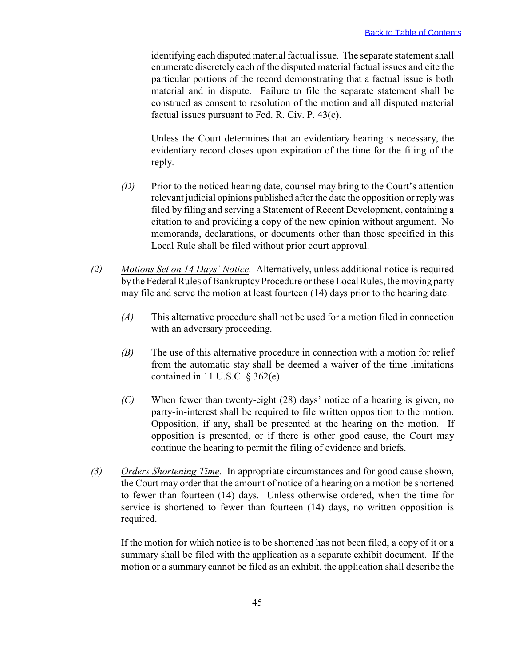identifying each disputed material factual issue. The separate statement shall enumerate discretely each of the disputed material factual issues and cite the particular portions of the record demonstrating that a factual issue is both material and in dispute. Failure to file the separate statement shall be construed as consent to resolution of the motion and all disputed material factual issues pursuant to Fed. R. Civ. P. 43(c).

Unless the Court determines that an evidentiary hearing is necessary, the evidentiary record closes upon expiration of the time for the filing of the reply.

- *(D)* Prior to the noticed hearing date, counsel may bring to the Court's attention relevant judicial opinions published after the date the opposition or reply was filed by filing and serving a Statement of Recent Development, containing a citation to and providing a copy of the new opinion without argument. No memoranda, declarations, or documents other than those specified in this Local Rule shall be filed without prior court approval.
- *(2) Motions Set on 14 Days' Notice.* Alternatively, unless additional notice is required by the Federal Rules of Bankruptcy Procedure or these Local Rules, the moving party may file and serve the motion at least fourteen (14) days prior to the hearing date.
	- *(A)* This alternative procedure shall not be used for a motion filed in connection with an adversary proceeding.
	- *(B)* The use of this alternative procedure in connection with a motion for relief from the automatic stay shall be deemed a waiver of the time limitations contained in 11 U.S.C. § 362(e).
	- *(C)* When fewer than twenty-eight (28) days' notice of a hearing is given, no party-in-interest shall be required to file written opposition to the motion. Opposition, if any, shall be presented at the hearing on the motion. If opposition is presented, or if there is other good cause, the Court may continue the hearing to permit the filing of evidence and briefs.
- *(3) Orders Shortening Time.* In appropriate circumstances and for good cause shown, the Court may order that the amount of notice of a hearing on a motion be shortened to fewer than fourteen (14) days. Unless otherwise ordered, when the time for service is shortened to fewer than fourteen (14) days, no written opposition is required.

If the motion for which notice is to be shortened has not been filed, a copy of it or a summary shall be filed with the application as a separate exhibit document. If the motion or a summary cannot be filed as an exhibit, the application shall describe the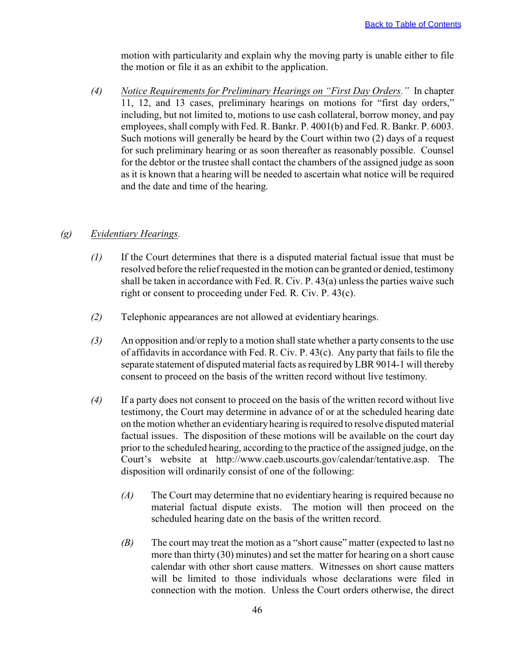motion with particularity and explain why the moving party is unable either to file the motion or file it as an exhibit to the application.

*(4) Notice Requirements for Preliminary Hearings on "First Day Orders."* In chapter 11, 12, and 13 cases, preliminary hearings on motions for "first day orders," including, but not limited to, motions to use cash collateral, borrow money, and pay employees, shall comply with Fed. R. Bankr. P. 4001(b) and Fed. R. Bankr. P. 6003. Such motions will generally be heard by the Court within two (2) days of a request for such preliminary hearing or as soon thereafter as reasonably possible. Counsel for the debtor or the trustee shall contact the chambers of the assigned judge as soon as it is known that a hearing will be needed to ascertain what notice will be required and the date and time of the hearing.

## *(g) Evidentiary Hearings.*

- *(1)* If the Court determines that there is a disputed material factual issue that must be resolved before the relief requested in the motion can be granted or denied, testimony shall be taken in accordance with Fed. R. Civ. P. 43(a) unless the parties waive such right or consent to proceeding under Fed. R. Civ. P. 43(c).
- *(2)* Telephonic appearances are not allowed at evidentiary hearings.
- *(3)* An opposition and/or reply to a motion shall state whether a party consents to the use of affidavits in accordance with Fed. R. Civ. P. 43(c). Any party that fails to file the separate statement of disputed material facts as required by LBR 9014-1 will thereby consent to proceed on the basis of the written record without live testimony.
- *(4)* If a party does not consent to proceed on the basis of the written record without live testimony, the Court may determine in advance of or at the scheduled hearing date on the motion whether an evidentiary hearing is required to resolve disputed material factual issues. The disposition of these motions will be available on the court day prior to the scheduled hearing, according to the practice of the assigned judge, on the Court's website at http://www.caeb.uscourts.gov/calendar/tentative.asp. The disposition will ordinarily consist of one of the following:
	- *(A)* The Court may determine that no evidentiary hearing is required because no material factual dispute exists. The motion will then proceed on the scheduled hearing date on the basis of the written record.
	- *(B)* The court may treat the motion as a "short cause" matter (expected to last no more than thirty (30) minutes) and set the matter for hearing on a short cause calendar with other short cause matters. Witnesses on short cause matters will be limited to those individuals whose declarations were filed in connection with the motion. Unless the Court orders otherwise, the direct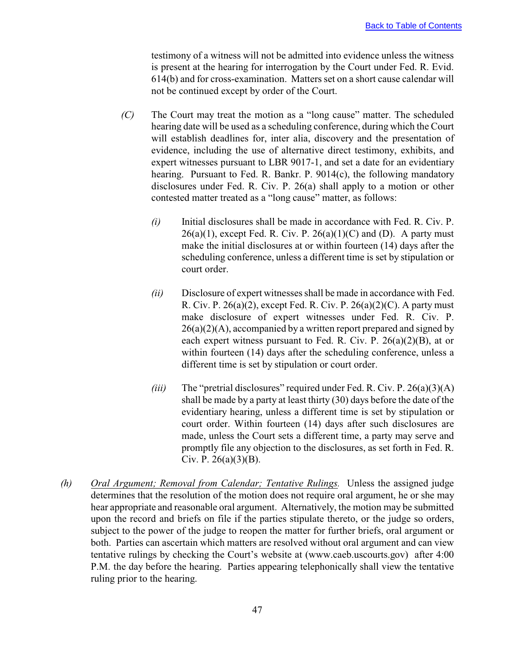testimony of a witness will not be admitted into evidence unless the witness is present at the hearing for interrogation by the Court under Fed. R. Evid. 614(b) and for cross-examination. Matters set on a short cause calendar will not be continued except by order of the Court.

- *(C)* The Court may treat the motion as a "long cause" matter. The scheduled hearing date will be used as a scheduling conference, during which the Court will establish deadlines for, inter alia, discovery and the presentation of evidence, including the use of alternative direct testimony, exhibits, and expert witnesses pursuant to LBR 9017-1, and set a date for an evidentiary hearing. Pursuant to Fed. R. Bankr. P. 9014(c), the following mandatory disclosures under Fed. R. Civ. P. 26(a) shall apply to a motion or other contested matter treated as a "long cause" matter, as follows:
	- *(i)* Initial disclosures shall be made in accordance with Fed. R. Civ. P.  $26(a)(1)$ , except Fed. R. Civ. P.  $26(a)(1)(C)$  and (D). A party must make the initial disclosures at or within fourteen (14) days after the scheduling conference, unless a different time is set by stipulation or court order.
	- *(ii)* Disclosure of expert witnesses shall be made in accordance with Fed. R. Civ. P.  $26(a)(2)$ , except Fed. R. Civ. P.  $26(a)(2)(C)$ . A party must make disclosure of expert witnesses under Fed. R. Civ. P.  $26(a)(2)(A)$ , accompanied by a written report prepared and signed by each expert witness pursuant to Fed. R. Civ. P.  $26(a)(2)(B)$ , at or within fourteen (14) days after the scheduling conference, unless a different time is set by stipulation or court order.
	- *(iii)* The "pretrial disclosures" required under Fed. R. Civ. P. 26(a)(3)(A) shall be made by a party at least thirty (30) days before the date of the evidentiary hearing, unless a different time is set by stipulation or court order. Within fourteen (14) days after such disclosures are made, unless the Court sets a different time, a party may serve and promptly file any objection to the disclosures, as set forth in Fed. R. Civ. P.  $26(a)(3)(B)$ .
- *(h) Oral Argument; Removal from Calendar; Tentative Rulings.* Unless the assigned judge determines that the resolution of the motion does not require oral argument, he or she may hear appropriate and reasonable oral argument. Alternatively, the motion may be submitted upon the record and briefs on file if the parties stipulate thereto, or the judge so orders, subject to the power of the judge to reopen the matter for further briefs, oral argument or both. Parties can ascertain which matters are resolved without oral argument and can view tentative rulings by checking the Court's website at (www.caeb.uscourts.gov) after 4:00 P.M. the day before the hearing. Parties appearing telephonically shall view the tentative ruling prior to the hearing.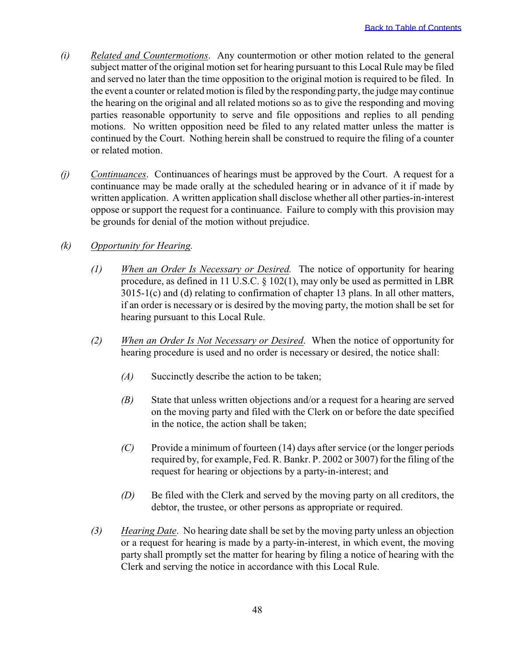- *(i) Related and Countermotions*. Any countermotion or other motion related to the general subject matter of the original motion set for hearing pursuant to this Local Rule may be filed and served no later than the time opposition to the original motion is required to be filed. In the event a counter or related motion is filed by the responding party, the judge may continue the hearing on the original and all related motions so as to give the responding and moving parties reasonable opportunity to serve and file oppositions and replies to all pending motions. No written opposition need be filed to any related matter unless the matter is continued by the Court. Nothing herein shall be construed to require the filing of a counter or related motion.
- *(j) Continuances*. Continuances of hearings must be approved by the Court. A request for a continuance may be made orally at the scheduled hearing or in advance of it if made by written application. A written application shall disclose whether all other parties-in-interest oppose or support the request for a continuance. Failure to comply with this provision may be grounds for denial of the motion without prejudice.

#### *(k) Opportunity for Hearing.*

- *(1) When an Order Is Necessary or Desired.* The notice of opportunity for hearing procedure, as defined in 11 U.S.C. § 102(1), may only be used as permitted in LBR 3015-1(c) and (d) relating to confirmation of chapter 13 plans. In all other matters, if an order is necessary or is desired by the moving party, the motion shall be set for hearing pursuant to this Local Rule.
- *(2) When an Order Is Not Necessary or Desired*. When the notice of opportunity for hearing procedure is used and no order is necessary or desired, the notice shall:
	- *(A)* Succinctly describe the action to be taken;
	- *(B)* State that unless written objections and/or a request for a hearing are served on the moving party and filed with the Clerk on or before the date specified in the notice, the action shall be taken;
	- *(C)* Provide a minimum of fourteen (14) days after service (or the longer periods required by, for example, Fed. R. Bankr. P. 2002 or 3007) for the filing of the request for hearing or objections by a party-in-interest; and
	- *(D)* Be filed with the Clerk and served by the moving party on all creditors, the debtor, the trustee, or other persons as appropriate or required.
- *(3) Hearing Date*. No hearing date shall be set by the moving party unless an objection or a request for hearing is made by a party-in-interest, in which event, the moving party shall promptly set the matter for hearing by filing a notice of hearing with the Clerk and serving the notice in accordance with this Local Rule.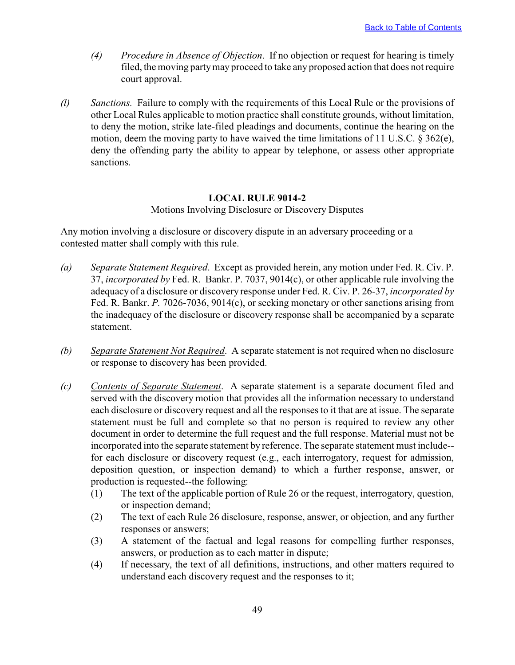- <span id="page-51-0"></span>*(4) Procedure in Absence of Objection*. If no objection or request for hearing is timely filed, the moving party may proceed to take any proposed action that does not require court approval.
- *(l) Sanctions.* Failure to comply with the requirements of this Local Rule or the provisions of other Local Rules applicable to motion practice shall constitute grounds, without limitation, to deny the motion, strike late-filed pleadings and documents, continue the hearing on the motion, deem the moving party to have waived the time limitations of 11 U.S.C. § 362(e), deny the offending party the ability to appear by telephone, or assess other appropriate sanctions.

#### **LOCAL RULE 9014-2**

Motions Involving Disclosure or Discovery Disputes

Any motion involving a disclosure or discovery dispute in an adversary proceeding or a contested matter shall comply with this rule.

- *(a) Separate Statement Required*. Except as provided herein, any motion under Fed. R. Civ. P. 37, *incorporated by* Fed. R. Bankr. P. 7037, 9014(c), or other applicable rule involving the adequacy of a disclosure or discovery response under Fed. R. Civ. P. 26-37, *incorporated by* Fed. R. Bankr. *P.* 7026-7036, 9014(c), or seeking monetary or other sanctions arising from the inadequacy of the disclosure or discovery response shall be accompanied by a separate statement.
- *(b) Separate Statement Not Required*. A separate statement is not required when no disclosure or response to discovery has been provided.
- *(c) Contents of Separate Statement*. A separate statement is a separate document filed and served with the discovery motion that provides all the information necessary to understand each disclosure or discovery request and all the responses to it that are at issue. The separate statement must be full and complete so that no person is required to review any other document in order to determine the full request and the full response. Material must not be incorporated into the separate statement by reference. The separate statement must include- for each disclosure or discovery request (e.g., each interrogatory, request for admission, deposition question, or inspection demand) to which a further response, answer, or production is requested--the following:
	- (1) The text of the applicable portion of Rule 26 or the request, interrogatory, question, or inspection demand;
	- (2) The text of each Rule 26 disclosure, response, answer, or objection, and any further responses or answers;
	- (3) A statement of the factual and legal reasons for compelling further responses, answers, or production as to each matter in dispute;
	- (4) If necessary, the text of all definitions, instructions, and other matters required to understand each discovery request and the responses to it;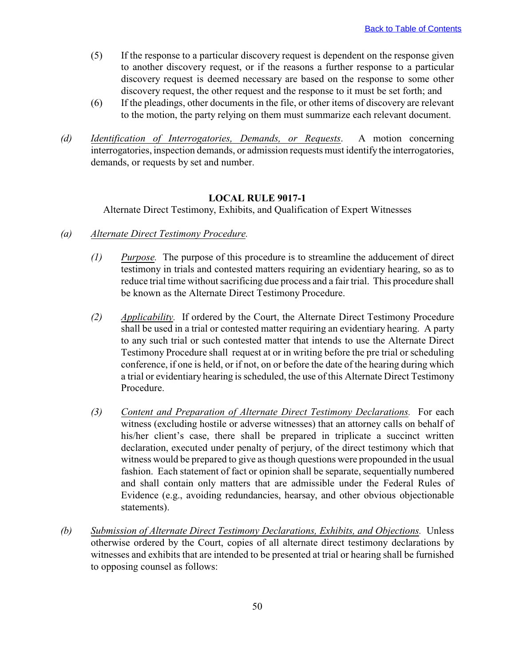- <span id="page-52-0"></span>(5) If the response to a particular discovery request is dependent on the response given to another discovery request, or if the reasons a further response to a particular discovery request is deemed necessary are based on the response to some other discovery request, the other request and the response to it must be set forth; and
- (6) If the pleadings, other documents in the file, or other items of discovery are relevant to the motion, the party relying on them must summarize each relevant document.
- *(d) Identification of Interrogatories, Demands, or Requests*. A motion concerning interrogatories, inspection demands, or admission requests must identify the interrogatories, demands, or requests by set and number.

#### **LOCAL RULE 9017-1**

Alternate Direct Testimony, Exhibits, and Qualification of Expert Witnesses

- *(a) Alternate Direct Testimony Procedure.*
	- *(1) Purpose.* The purpose of this procedure is to streamline the adducement of direct testimony in trials and contested matters requiring an evidentiary hearing, so as to reduce trial time without sacrificing due process and a fair trial. This procedure shall be known as the Alternate Direct Testimony Procedure.
	- *(2) Applicability.* If ordered by the Court, the Alternate Direct Testimony Procedure shall be used in a trial or contested matter requiring an evidentiary hearing. A party to any such trial or such contested matter that intends to use the Alternate Direct Testimony Procedure shall request at or in writing before the pre trial or scheduling conference, if one is held, or if not, on or before the date of the hearing during which a trial or evidentiary hearing is scheduled, the use of this Alternate Direct Testimony Procedure.
	- *(3) Content and Preparation of Alternate Direct Testimony Declarations.* For each witness (excluding hostile or adverse witnesses) that an attorney calls on behalf of his/her client's case, there shall be prepared in triplicate a succinct written declaration, executed under penalty of perjury, of the direct testimony which that witness would be prepared to give as though questions were propounded in the usual fashion. Each statement of fact or opinion shall be separate, sequentially numbered and shall contain only matters that are admissible under the Federal Rules of Evidence (e.g., avoiding redundancies, hearsay, and other obvious objectionable statements).
- *(b) Submission of Alternate Direct Testimony Declarations, Exhibits, and Objections.* Unless otherwise ordered by the Court, copies of all alternate direct testimony declarations by witnesses and exhibits that are intended to be presented at trial or hearing shall be furnished to opposing counsel as follows: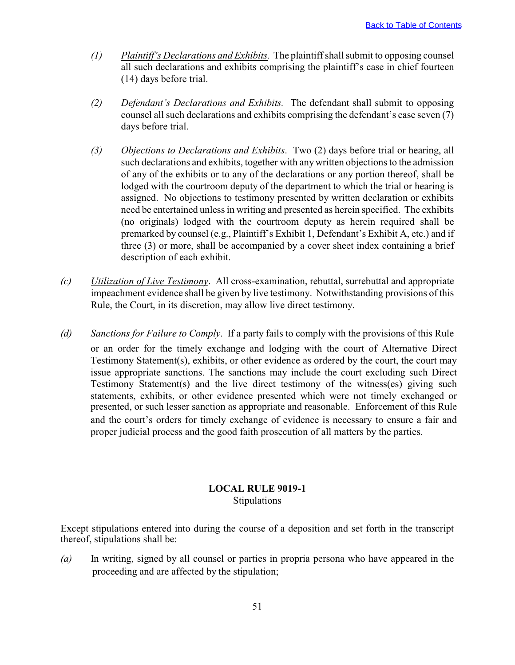- <span id="page-53-0"></span>*(1) Plaintiff's Declarations and Exhibits.* The plaintiff shall submit to opposing counsel all such declarations and exhibits comprising the plaintiff's case in chief fourteen (14) days before trial.
- *(2) Defendant's Declarations and Exhibits.* The defendant shall submit to opposing counsel all such declarations and exhibits comprising the defendant's case seven (7) days before trial.
- *(3) Objections to Declarations and Exhibits*. Two (2) days before trial or hearing, all such declarations and exhibits, together with any written objections to the admission of any of the exhibits or to any of the declarations or any portion thereof, shall be lodged with the courtroom deputy of the department to which the trial or hearing is assigned. No objections to testimony presented by written declaration or exhibits need be entertained unless in writing and presented as herein specified. The exhibits (no originals) lodged with the courtroom deputy as herein required shall be premarked by counsel (e.g., Plaintiff's Exhibit 1, Defendant's Exhibit A, etc.) and if three (3) or more, shall be accompanied by a cover sheet index containing a brief description of each exhibit.
- *(c) Utilization of Live Testimony*. All cross-examination, rebuttal, surrebuttal and appropriate impeachment evidence shall be given by live testimony. Notwithstanding provisions of this Rule, the Court, in its discretion, may allow live direct testimony.
- *(d) Sanctions for Failure to Comply*. If a party fails to comply with the provisions of this Rule or an order for the timely exchange and lodging with the court of Alternative Direct Testimony Statement(s), exhibits, or other evidence as ordered by the court, the court may issue appropriate sanctions. The sanctions may include the court excluding such Direct Testimony Statement(s) and the live direct testimony of the witness(es) giving such statements, exhibits, or other evidence presented which were not timely exchanged or presented, or such lesser sanction as appropriate and reasonable. Enforcement of this Rule and the court's orders for timely exchange of evidence is necessary to ensure a fair and proper judicial process and the good faith prosecution of all matters by the parties.

## **LOCAL RULE 9019-1** Stipulations

Except stipulations entered into during the course of a deposition and set forth in the transcript thereof, stipulations shall be:

*(a)* In writing, signed by all counsel or parties in propria persona who have appeared in the proceeding and are affected by the stipulation;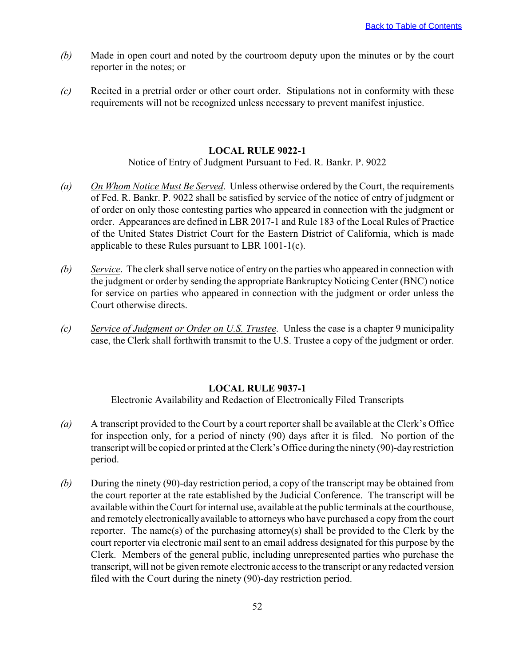- <span id="page-54-0"></span>*(b)* Made in open court and noted by the courtroom deputy upon the minutes or by the court reporter in the notes; or
- *(c)* Recited in a pretrial order or other court order. Stipulations not in conformity with these requirements will not be recognized unless necessary to prevent manifest injustice.

#### **LOCAL RULE 9022-1**

Notice of Entry of Judgment Pursuant to Fed. R. Bankr. P. 9022

- *(a) On Whom Notice Must Be Served*. Unless otherwise ordered by the Court, the requirements of Fed. R. Bankr. P. 9022 shall be satisfied by service of the notice of entry of judgment or of order on only those contesting parties who appeared in connection with the judgment or order. Appearances are defined in LBR 2017-1 and Rule 183 of the Local Rules of Practice of the United States District Court for the Eastern District of California, which is made applicable to these Rules pursuant to LBR 1001-1(c).
- *(b) Service*. The clerk shall serve notice of entry on the parties who appeared in connection with the judgment or order by sending the appropriate Bankruptcy Noticing Center (BNC) notice for service on parties who appeared in connection with the judgment or order unless the Court otherwise directs.
- *(c) Service of Judgment or Order on U.S. Trustee*. Unless the case is a chapter 9 municipality case, the Clerk shall forthwith transmit to the U.S. Trustee a copy of the judgment or order.

#### **LOCAL RULE 9037-1**

Electronic Availability and Redaction of Electronically Filed Transcripts

- *(a)* A transcript provided to the Court by a court reporter shall be available at the Clerk's Office for inspection only, for a period of ninety (90) days after it is filed. No portion of the transcript will be copied or printed at the Clerk's Office during the ninety (90)-day restriction period.
- *(b)* During the ninety (90)-day restriction period, a copy of the transcript may be obtained from the court reporter at the rate established by the Judicial Conference. The transcript will be available within the Court for internal use, available at the public terminals at the courthouse, and remotely electronically available to attorneys who have purchased a copy from the court reporter. The name(s) of the purchasing attorney(s) shall be provided to the Clerk by the court reporter via electronic mail sent to an email address designated for this purpose by the Clerk. Members of the general public, including unrepresented parties who purchase the transcript, will not be given remote electronic access to the transcript or any redacted version filed with the Court during the ninety (90)-day restriction period.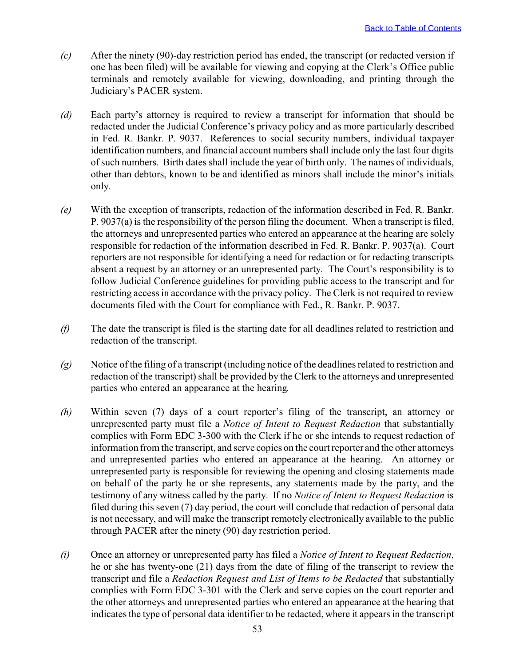- *(c)* After the ninety (90)-day restriction period has ended, the transcript (or redacted version if one has been filed) will be available for viewing and copying at the Clerk's Office public terminals and remotely available for viewing, downloading, and printing through the Judiciary's PACER system.
- *(d)* Each party's attorney is required to review a transcript for information that should be redacted under the Judicial Conference's privacy policy and as more particularly described in Fed. R. Bankr. P. 9037. References to social security numbers, individual taxpayer identification numbers, and financial account numbers shall include only the last four digits of such numbers. Birth dates shall include the year of birth only. The names of individuals, other than debtors, known to be and identified as minors shall include the minor's initials only.
- *(e)* With the exception of transcripts, redaction of the information described in Fed. R. Bankr. P. 9037(a) is the responsibility of the person filing the document. When a transcript is filed, the attorneys and unrepresented parties who entered an appearance at the hearing are solely responsible for redaction of the information described in Fed. R. Bankr. P. 9037(a). Court reporters are not responsible for identifying a need for redaction or for redacting transcripts absent a request by an attorney or an unrepresented party. The Court's responsibility is to follow Judicial Conference guidelines for providing public access to the transcript and for restricting access in accordance with the privacy policy. The Clerk is not required to review documents filed with the Court for compliance with Fed., R. Bankr. P. 9037.
- *(f)* The date the transcript is filed is the starting date for all deadlines related to restriction and redaction of the transcript.
- *(g)* Notice of the filing of a transcript (including notice of the deadlines related to restriction and redaction of the transcript) shall be provided by the Clerk to the attorneys and unrepresented parties who entered an appearance at the hearing.
- *(h)* Within seven (7) days of a court reporter's filing of the transcript, an attorney or unrepresented party must file a *Notice of Intent to Request Redaction* that substantially complies with Form EDC 3-300 with the Clerk if he or she intends to request redaction of information from the transcript, and serve copies on the court reporter and the other attorneys and unrepresented parties who entered an appearance at the hearing. An attorney or unrepresented party is responsible for reviewing the opening and closing statements made on behalf of the party he or she represents, any statements made by the party, and the testimony of any witness called by the party. If no *Notice of Intent to Request Redaction* is filed during this seven (7) day period, the court will conclude that redaction of personal data is not necessary, and will make the transcript remotely electronically available to the public through PACER after the ninety (90) day restriction period.
- *(i)* Once an attorney or unrepresented party has filed a *Notice of Intent to Request Redaction*, he or she has twenty-one (21) days from the date of filing of the transcript to review the transcript and file a *Redaction Request and List of Items to be Redacted* that substantially complies with Form EDC 3-301 with the Clerk and serve copies on the court reporter and the other attorneys and unrepresented parties who entered an appearance at the hearing that indicates the type of personal data identifier to be redacted, where it appears in the transcript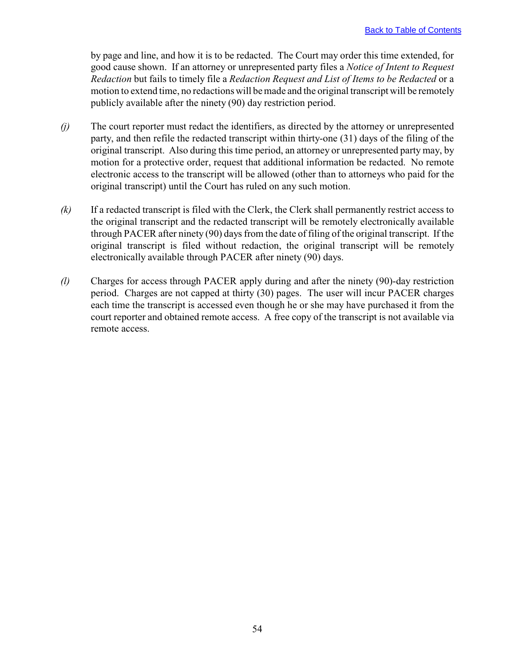by page and line, and how it is to be redacted. The Court may order this time extended, for good cause shown. If an attorney or unrepresented party files a *Notice of Intent to Request Redaction* but fails to timely file a *Redaction Request and List of Items to be Redacted* or a motion to extend time, no redactions will be made and the original transcript will be remotely publicly available after the ninety (90) day restriction period.

- *(j)* The court reporter must redact the identifiers, as directed by the attorney or unrepresented party, and then refile the redacted transcript within thirty-one (31) days of the filing of the original transcript. Also during this time period, an attorney or unrepresented party may, by motion for a protective order, request that additional information be redacted. No remote electronic access to the transcript will be allowed (other than to attorneys who paid for the original transcript) until the Court has ruled on any such motion.
- *(k)* If a redacted transcript is filed with the Clerk, the Clerk shall permanently restrict access to the original transcript and the redacted transcript will be remotely electronically available through PACER after ninety (90) days from the date of filing of the original transcript. If the original transcript is filed without redaction, the original transcript will be remotely electronically available through PACER after ninety (90) days.
- *(l)* Charges for access through PACER apply during and after the ninety (90)-day restriction period. Charges are not capped at thirty (30) pages. The user will incur PACER charges each time the transcript is accessed even though he or she may have purchased it from the court reporter and obtained remote access. A free copy of the transcript is not available via remote access.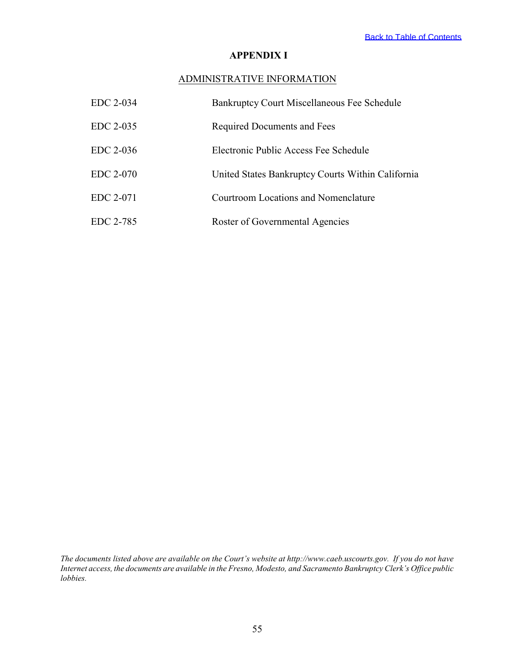## **APPENDIX I**

## ADMINISTRATIVE INFORMATION

<span id="page-57-0"></span>

| EDC 2-034 | Bankruptcy Court Miscellaneous Fee Schedule       |
|-----------|---------------------------------------------------|
| EDC 2-035 | Required Documents and Fees                       |
| EDC 2-036 | Electronic Public Access Fee Schedule             |
| EDC 2-070 | United States Bankruptcy Courts Within California |
| EDC 2-071 | Courtroom Locations and Nomenclature              |
| EDC 2-785 | Roster of Governmental Agencies                   |

*The documents listed above are available on the Court's website at http://www.caeb.uscourts.gov. If you do not have Internet access, the documents are available in the Fresno, Modesto, and Sacramento Bankruptcy Clerk's Office public lobbies.*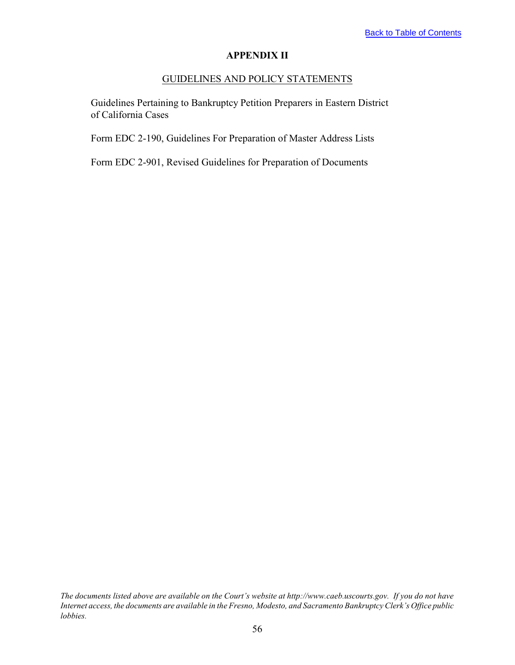### **APPENDIX II**

# GUIDELINES AND POLICY STATEMENTS

<span id="page-58-0"></span>Guidelines Pertaining to Bankruptcy Petition Preparers in Eastern District of California Cases

Form EDC 2-190, Guidelines For Preparation of Master Address Lists

Form EDC 2-901, Revised Guidelines for Preparation of Documents

*The documents listed above are available on the Court's website at http://www.caeb.uscourts.gov. If you do not have Internet access, the documents are available in the Fresno, Modesto, and Sacramento Bankruptcy Clerk's Office public lobbies.*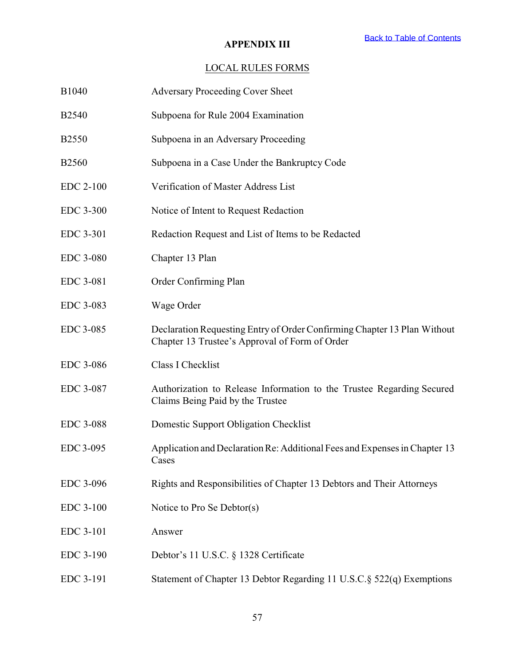## **APPENDIX III**

# LOCAL RULES FORMS

<span id="page-59-0"></span>

| B1040            | <b>Adversary Proceeding Cover Sheet</b>                                                                                    |
|------------------|----------------------------------------------------------------------------------------------------------------------------|
| <b>B2540</b>     | Subpoena for Rule 2004 Examination                                                                                         |
| <b>B2550</b>     | Subpoena in an Adversary Proceeding                                                                                        |
| <b>B2560</b>     | Subpoena in a Case Under the Bankruptcy Code                                                                               |
| <b>EDC 2-100</b> | Verification of Master Address List                                                                                        |
| EDC 3-300        | Notice of Intent to Request Redaction                                                                                      |
| EDC 3-301        | Redaction Request and List of Items to be Redacted                                                                         |
| <b>EDC 3-080</b> | Chapter 13 Plan                                                                                                            |
| EDC 3-081        | Order Confirming Plan                                                                                                      |
| EDC 3-083        | Wage Order                                                                                                                 |
| EDC 3-085        | Declaration Requesting Entry of Order Confirming Chapter 13 Plan Without<br>Chapter 13 Trustee's Approval of Form of Order |
| EDC 3-086        | Class I Checklist                                                                                                          |
| EDC 3-087        | Authorization to Release Information to the Trustee Regarding Secured<br>Claims Being Paid by the Trustee                  |
| <b>EDC 3-088</b> | Domestic Support Obligation Checklist                                                                                      |
| EDC 3-095        | Application and Declaration Re: Additional Fees and Expenses in Chapter 13<br>Cases                                        |
| EDC 3-096        | Rights and Responsibilities of Chapter 13 Debtors and Their Attorneys                                                      |
| <b>EDC 3-100</b> | Notice to Pro Se Debtor(s)                                                                                                 |
| EDC 3-101        | Answer                                                                                                                     |
| EDC 3-190        | Debtor's 11 U.S.C. § 1328 Certificate                                                                                      |
| EDC 3-191        | Statement of Chapter 13 Debtor Regarding 11 U.S.C.§ 522(q) Exemptions                                                      |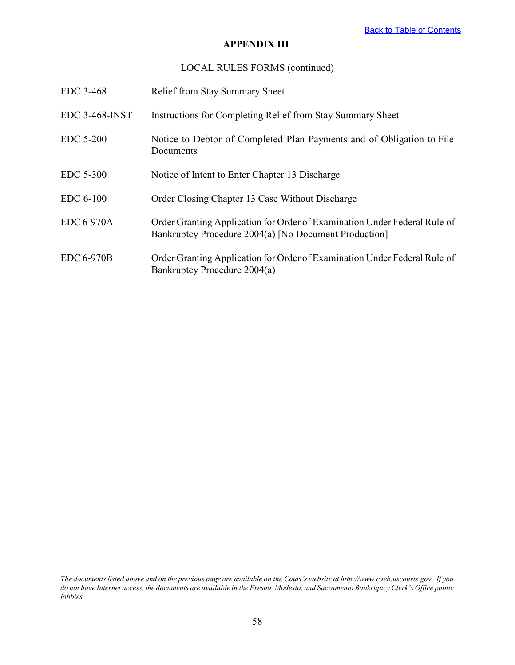## **APPENDIX III**

## LOCAL RULES FORMS (continued)

| EDC 3-468             | <b>Relief from Stay Summary Sheet</b>                                                                                              |
|-----------------------|------------------------------------------------------------------------------------------------------------------------------------|
| <b>EDC 3-468-INST</b> | Instructions for Completing Relief from Stay Summary Sheet                                                                         |
| EDC 5-200             | Notice to Debtor of Completed Plan Payments and of Obligation to File<br>Documents                                                 |
| EDC 5-300             | Notice of Intent to Enter Chapter 13 Discharge                                                                                     |
| EDC 6-100             | Order Closing Chapter 13 Case Without Discharge                                                                                    |
| EDC 6-970A            | Order Granting Application for Order of Examination Under Federal Rule of<br>Bankruptcy Procedure 2004(a) [No Document Production] |
| <b>EDC 6-970B</b>     | Order Granting Application for Order of Examination Under Federal Rule of<br>Bankruptcy Procedure 2004(a)                          |

*The documents listed above and on the previous page are available on the Court's website at http://www.caeb.uscourts.gov. If you do not have Internet access, the documents are available in the Fresno, Modesto, and Sacramento Bankruptcy Clerk's Office public lobbies.*